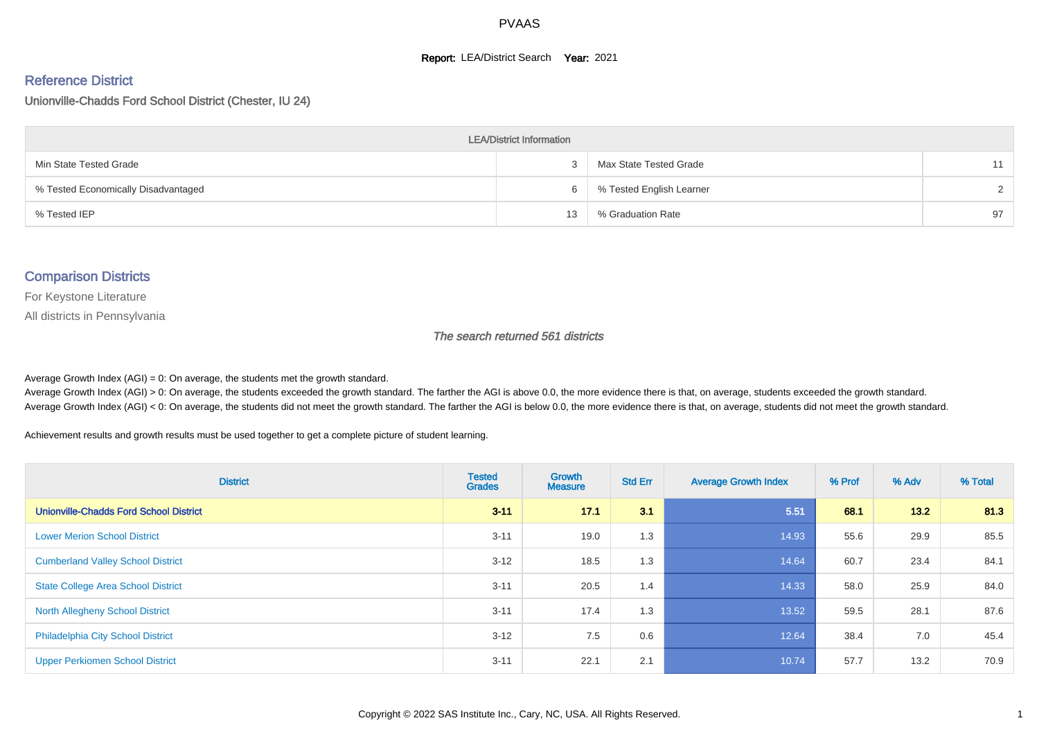#### **Report: LEA/District Search Year: 2021**

#### Reference District

Unionville-Chadds Ford School District (Chester, IU 24)

| <b>LEA/District Information</b>     |    |                          |               |  |  |  |  |  |  |
|-------------------------------------|----|--------------------------|---------------|--|--|--|--|--|--|
| Min State Tested Grade              |    | Max State Tested Grade   | 11            |  |  |  |  |  |  |
| % Tested Economically Disadvantaged | 6  | % Tested English Learner | $\mathcal{D}$ |  |  |  |  |  |  |
| % Tested IEP                        | 13 | % Graduation Rate        | 97            |  |  |  |  |  |  |

#### Comparison Districts

For Keystone Literature

All districts in Pennsylvania

The search returned 561 districts

Average Growth Index  $(AGI) = 0$ : On average, the students met the growth standard.

Average Growth Index (AGI) > 0: On average, the students exceeded the growth standard. The farther the AGI is above 0.0, the more evidence there is that, on average, students exceeded the growth standard. Average Growth Index (AGI) < 0: On average, the students did not meet the growth standard. The farther the AGI is below 0.0, the more evidence there is that, on average, students did not meet the growth standard.

Achievement results and growth results must be used together to get a complete picture of student learning.

| <b>District</b>                               | <b>Tested</b><br><b>Grades</b> | Growth<br><b>Measure</b> | <b>Std Err</b> | <b>Average Growth Index</b> | % Prof | % Adv | % Total |
|-----------------------------------------------|--------------------------------|--------------------------|----------------|-----------------------------|--------|-------|---------|
| <b>Unionville-Chadds Ford School District</b> | $3 - 11$                       | 17.1                     | 3.1            | 5.51                        | 68.1   | 13.2  | 81.3    |
| <b>Lower Merion School District</b>           | $3 - 11$                       | 19.0                     | 1.3            | 14.93                       | 55.6   | 29.9  | 85.5    |
| <b>Cumberland Valley School District</b>      | $3 - 12$                       | 18.5                     | 1.3            | 14.64                       | 60.7   | 23.4  | 84.1    |
| <b>State College Area School District</b>     | $3 - 11$                       | 20.5                     | 1.4            | 14.33                       | 58.0   | 25.9  | 84.0    |
| North Allegheny School District               | $3 - 11$                       | 17.4                     | 1.3            | 13.52                       | 59.5   | 28.1  | 87.6    |
| Philadelphia City School District             | $3 - 12$                       | 7.5                      | 0.6            | 12.64                       | 38.4   | 7.0   | 45.4    |
| <b>Upper Perkiomen School District</b>        | $3 - 11$                       | 22.1                     | 2.1            | 10.74                       | 57.7   | 13.2  | 70.9    |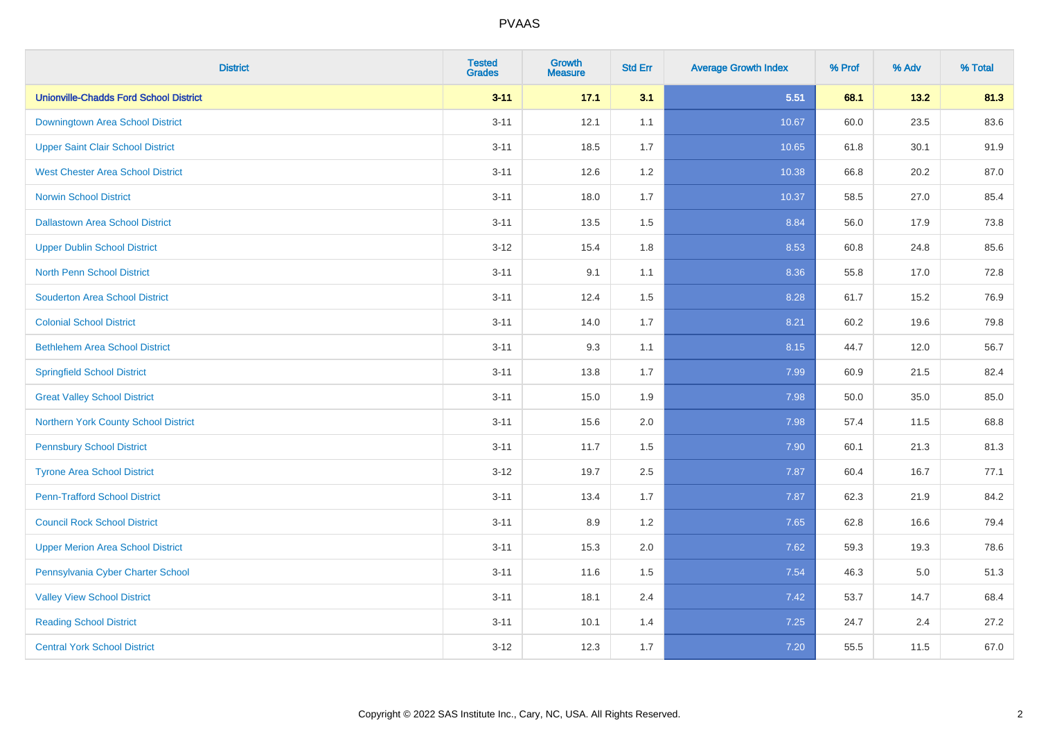| <b>District</b>                               | <b>Tested</b><br><b>Grades</b> | <b>Growth</b><br><b>Measure</b> | <b>Std Err</b> | <b>Average Growth Index</b> | % Prof | % Adv   | % Total |
|-----------------------------------------------|--------------------------------|---------------------------------|----------------|-----------------------------|--------|---------|---------|
| <b>Unionville-Chadds Ford School District</b> | $3 - 11$                       | 17.1                            | 3.1            | 5.51                        | 68.1   | 13.2    | 81.3    |
| <b>Downingtown Area School District</b>       | $3 - 11$                       | 12.1                            | 1.1            | 10.67                       | 60.0   | 23.5    | 83.6    |
| <b>Upper Saint Clair School District</b>      | $3 - 11$                       | 18.5                            | 1.7            | 10.65                       | 61.8   | 30.1    | 91.9    |
| <b>West Chester Area School District</b>      | $3 - 11$                       | 12.6                            | 1.2            | 10.38                       | 66.8   | 20.2    | 87.0    |
| <b>Norwin School District</b>                 | $3 - 11$                       | 18.0                            | 1.7            | 10.37                       | 58.5   | 27.0    | 85.4    |
| <b>Dallastown Area School District</b>        | $3 - 11$                       | 13.5                            | 1.5            | 8.84                        | 56.0   | 17.9    | 73.8    |
| <b>Upper Dublin School District</b>           | $3 - 12$                       | 15.4                            | 1.8            | 8.53                        | 60.8   | 24.8    | 85.6    |
| <b>North Penn School District</b>             | $3 - 11$                       | 9.1                             | 1.1            | 8.36                        | 55.8   | 17.0    | 72.8    |
| <b>Souderton Area School District</b>         | $3 - 11$                       | 12.4                            | 1.5            | 8.28                        | 61.7   | 15.2    | 76.9    |
| <b>Colonial School District</b>               | $3 - 11$                       | 14.0                            | 1.7            | 8.21                        | 60.2   | 19.6    | 79.8    |
| <b>Bethlehem Area School District</b>         | $3 - 11$                       | 9.3                             | 1.1            | 8.15                        | 44.7   | 12.0    | 56.7    |
| <b>Springfield School District</b>            | $3 - 11$                       | 13.8                            | 1.7            | 7.99                        | 60.9   | 21.5    | 82.4    |
| <b>Great Valley School District</b>           | $3 - 11$                       | 15.0                            | 1.9            | 7.98                        | 50.0   | 35.0    | 85.0    |
| Northern York County School District          | $3 - 11$                       | 15.6                            | 2.0            | 7.98                        | 57.4   | 11.5    | 68.8    |
| <b>Pennsbury School District</b>              | $3 - 11$                       | 11.7                            | 1.5            | 7.90                        | 60.1   | 21.3    | 81.3    |
| <b>Tyrone Area School District</b>            | $3 - 12$                       | 19.7                            | 2.5            | 7.87                        | 60.4   | 16.7    | 77.1    |
| <b>Penn-Trafford School District</b>          | $3 - 11$                       | 13.4                            | 1.7            | 7.87                        | 62.3   | 21.9    | 84.2    |
| <b>Council Rock School District</b>           | $3 - 11$                       | 8.9                             | 1.2            | 7.65                        | 62.8   | 16.6    | 79.4    |
| <b>Upper Merion Area School District</b>      | $3 - 11$                       | 15.3                            | 2.0            | 7.62                        | 59.3   | 19.3    | 78.6    |
| Pennsylvania Cyber Charter School             | $3 - 11$                       | 11.6                            | 1.5            | 7.54                        | 46.3   | $5.0\,$ | 51.3    |
| <b>Valley View School District</b>            | $3 - 11$                       | 18.1                            | 2.4            | 7.42                        | 53.7   | 14.7    | 68.4    |
| <b>Reading School District</b>                | $3 - 11$                       | 10.1                            | 1.4            | 7.25                        | 24.7   | 2.4     | 27.2    |
| <b>Central York School District</b>           | $3 - 12$                       | 12.3                            | 1.7            | $7.20$                      | 55.5   | 11.5    | 67.0    |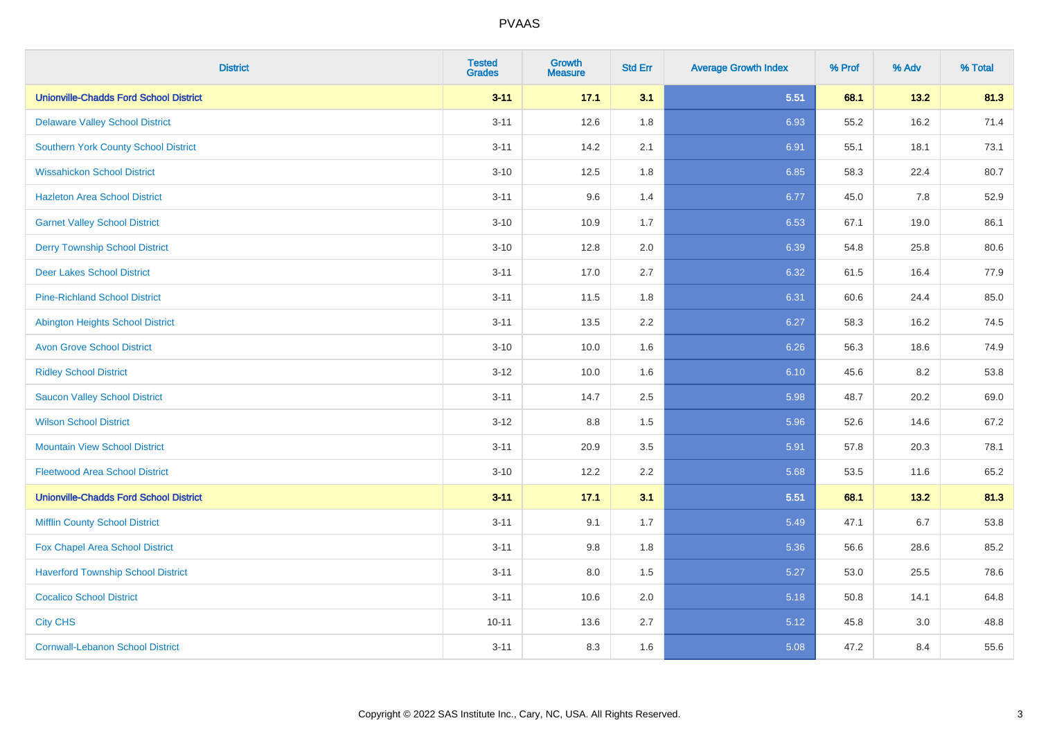| <b>District</b>                               | <b>Tested</b><br><b>Grades</b> | <b>Growth</b><br><b>Measure</b> | <b>Std Err</b> | <b>Average Growth Index</b> | % Prof | % Adv | % Total |
|-----------------------------------------------|--------------------------------|---------------------------------|----------------|-----------------------------|--------|-------|---------|
| <b>Unionville-Chadds Ford School District</b> | $3 - 11$                       | 17.1                            | 3.1            | 5.51                        | 68.1   | 13.2  | 81.3    |
| <b>Delaware Valley School District</b>        | $3 - 11$                       | 12.6                            | 1.8            | 6.93                        | 55.2   | 16.2  | 71.4    |
| <b>Southern York County School District</b>   | $3 - 11$                       | 14.2                            | 2.1            | 6.91                        | 55.1   | 18.1  | 73.1    |
| <b>Wissahickon School District</b>            | $3 - 10$                       | 12.5                            | 1.8            | 6.85                        | 58.3   | 22.4  | 80.7    |
| <b>Hazleton Area School District</b>          | $3 - 11$                       | 9.6                             | 1.4            | 6.77                        | 45.0   | 7.8   | 52.9    |
| <b>Garnet Valley School District</b>          | $3 - 10$                       | 10.9                            | 1.7            | 6.53                        | 67.1   | 19.0  | 86.1    |
| <b>Derry Township School District</b>         | $3 - 10$                       | 12.8                            | 2.0            | 6.39                        | 54.8   | 25.8  | 80.6    |
| <b>Deer Lakes School District</b>             | $3 - 11$                       | 17.0                            | 2.7            | 6.32                        | 61.5   | 16.4  | 77.9    |
| <b>Pine-Richland School District</b>          | $3 - 11$                       | 11.5                            | 1.8            | 6.31                        | 60.6   | 24.4  | 85.0    |
| <b>Abington Heights School District</b>       | $3 - 11$                       | 13.5                            | 2.2            | 6.27                        | 58.3   | 16.2  | 74.5    |
| <b>Avon Grove School District</b>             | $3 - 10$                       | 10.0                            | 1.6            | 6.26                        | 56.3   | 18.6  | 74.9    |
| <b>Ridley School District</b>                 | $3 - 12$                       | 10.0                            | 1.6            | 6.10                        | 45.6   | 8.2   | 53.8    |
| <b>Saucon Valley School District</b>          | $3 - 11$                       | 14.7                            | 2.5            | 5.98                        | 48.7   | 20.2  | 69.0    |
| <b>Wilson School District</b>                 | $3 - 12$                       | $8.8\,$                         | 1.5            | 5.96                        | 52.6   | 14.6  | 67.2    |
| <b>Mountain View School District</b>          | $3 - 11$                       | 20.9                            | 3.5            | 5.91                        | 57.8   | 20.3  | 78.1    |
| <b>Fleetwood Area School District</b>         | $3 - 10$                       | 12.2                            | 2.2            | 5.68                        | 53.5   | 11.6  | 65.2    |
| <b>Unionville-Chadds Ford School District</b> | $3 - 11$                       | 17.1                            | 3.1            | 5.51                        | 68.1   | 13.2  | 81.3    |
| <b>Mifflin County School District</b>         | $3 - 11$                       | 9.1                             | 1.7            | 5.49                        | 47.1   | 6.7   | 53.8    |
| Fox Chapel Area School District               | $3 - 11$                       | 9.8                             | 1.8            | 5.36                        | 56.6   | 28.6  | 85.2    |
| <b>Haverford Township School District</b>     | $3 - 11$                       | 8.0                             | 1.5            | 5.27                        | 53.0   | 25.5  | 78.6    |
| <b>Cocalico School District</b>               | $3 - 11$                       | 10.6                            | 2.0            | 5.18                        | 50.8   | 14.1  | 64.8    |
| <b>City CHS</b>                               | $10 - 11$                      | 13.6                            | 2.7            | 5.12                        | 45.8   | 3.0   | 48.8    |
| <b>Cornwall-Lebanon School District</b>       | $3 - 11$                       | 8.3                             | 1.6            | 5.08                        | 47.2   | 8.4   | 55.6    |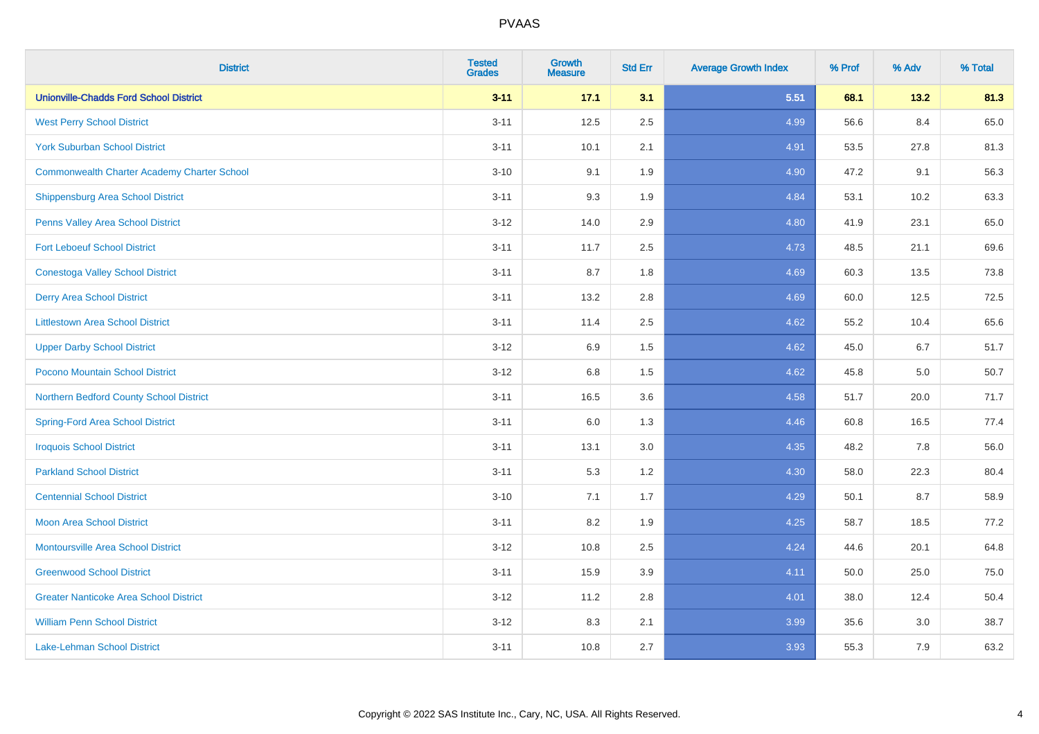| <b>District</b>                                    | <b>Tested</b><br><b>Grades</b> | Growth<br><b>Measure</b> | <b>Std Err</b> | <b>Average Growth Index</b> | % Prof | % Adv | % Total |
|----------------------------------------------------|--------------------------------|--------------------------|----------------|-----------------------------|--------|-------|---------|
| <b>Unionville-Chadds Ford School District</b>      | $3 - 11$                       | 17.1                     | 3.1            | 5.51                        | 68.1   | 13.2  | 81.3    |
| <b>West Perry School District</b>                  | $3 - 11$                       | 12.5                     | 2.5            | 4.99                        | 56.6   | 8.4   | 65.0    |
| <b>York Suburban School District</b>               | $3 - 11$                       | 10.1                     | 2.1            | 4.91                        | 53.5   | 27.8  | 81.3    |
| <b>Commonwealth Charter Academy Charter School</b> | $3 - 10$                       | 9.1                      | 1.9            | 4.90                        | 47.2   | 9.1   | 56.3    |
| Shippensburg Area School District                  | $3 - 11$                       | 9.3                      | 1.9            | 4.84                        | 53.1   | 10.2  | 63.3    |
| Penns Valley Area School District                  | $3 - 12$                       | 14.0                     | 2.9            | 4.80                        | 41.9   | 23.1  | 65.0    |
| <b>Fort Leboeuf School District</b>                | $3 - 11$                       | 11.7                     | 2.5            | 4.73                        | 48.5   | 21.1  | 69.6    |
| <b>Conestoga Valley School District</b>            | $3 - 11$                       | 8.7                      | 1.8            | 4.69                        | 60.3   | 13.5  | 73.8    |
| <b>Derry Area School District</b>                  | $3 - 11$                       | 13.2                     | 2.8            | 4.69                        | 60.0   | 12.5  | 72.5    |
| <b>Littlestown Area School District</b>            | $3 - 11$                       | 11.4                     | $2.5\,$        | 4.62                        | 55.2   | 10.4  | 65.6    |
| <b>Upper Darby School District</b>                 | $3 - 12$                       | 6.9                      | 1.5            | 4.62                        | 45.0   | 6.7   | 51.7    |
| Pocono Mountain School District                    | $3 - 12$                       | $6.8\,$                  | 1.5            | 4.62                        | 45.8   | 5.0   | 50.7    |
| Northern Bedford County School District            | $3 - 11$                       | 16.5                     | 3.6            | 4.58                        | 51.7   | 20.0  | 71.7    |
| <b>Spring-Ford Area School District</b>            | $3 - 11$                       | 6.0                      | 1.3            | 4.46                        | 60.8   | 16.5  | 77.4    |
| <b>Iroquois School District</b>                    | $3 - 11$                       | 13.1                     | 3.0            | 4.35                        | 48.2   | 7.8   | 56.0    |
| <b>Parkland School District</b>                    | $3 - 11$                       | 5.3                      | 1.2            | 4.30                        | 58.0   | 22.3  | 80.4    |
| <b>Centennial School District</b>                  | $3 - 10$                       | 7.1                      | 1.7            | 4.29                        | 50.1   | 8.7   | 58.9    |
| <b>Moon Area School District</b>                   | $3 - 11$                       | 8.2                      | 1.9            | 4.25                        | 58.7   | 18.5  | 77.2    |
| <b>Montoursville Area School District</b>          | $3 - 12$                       | 10.8                     | 2.5            | 4.24                        | 44.6   | 20.1  | 64.8    |
| <b>Greenwood School District</b>                   | $3 - 11$                       | 15.9                     | 3.9            | 4.11                        | 50.0   | 25.0  | 75.0    |
| <b>Greater Nanticoke Area School District</b>      | $3 - 12$                       | 11.2                     | 2.8            | 4.01                        | 38.0   | 12.4  | 50.4    |
| <b>William Penn School District</b>                | $3 - 12$                       | 8.3                      | 2.1            | 3.99                        | 35.6   | 3.0   | 38.7    |
| Lake-Lehman School District                        | $3 - 11$                       | 10.8                     | 2.7            | 3.93                        | 55.3   | 7.9   | 63.2    |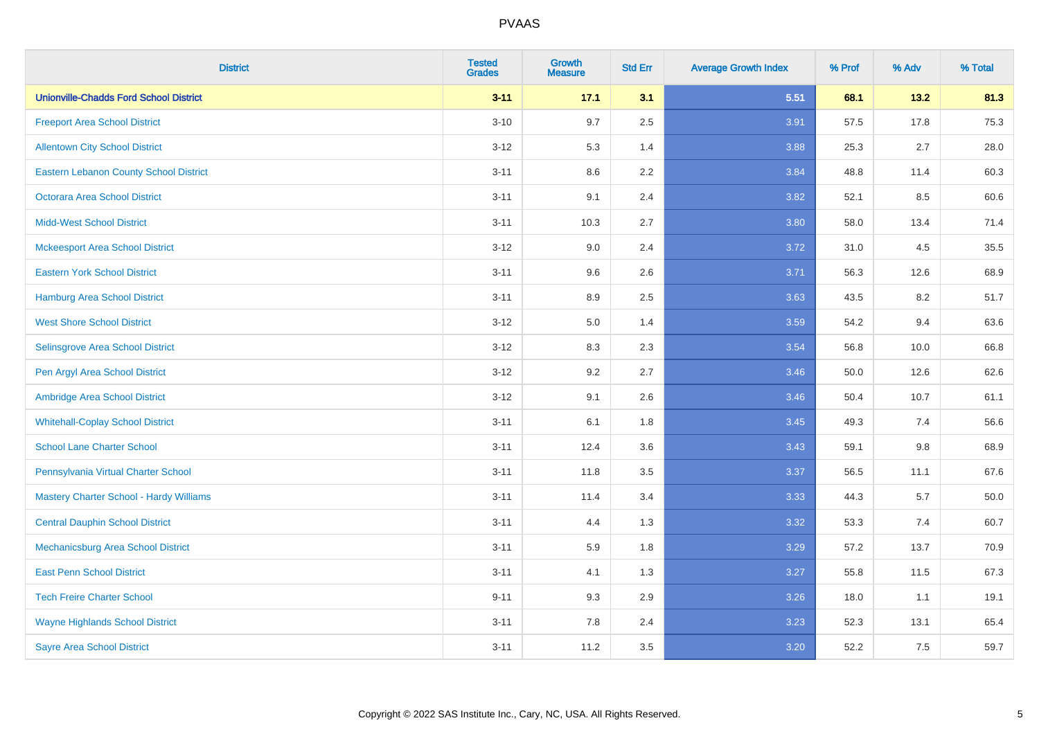| <b>District</b>                                | <b>Tested</b><br><b>Grades</b> | <b>Growth</b><br><b>Measure</b> | <b>Std Err</b> | <b>Average Growth Index</b> | % Prof | % Adv | % Total |
|------------------------------------------------|--------------------------------|---------------------------------|----------------|-----------------------------|--------|-------|---------|
| <b>Unionville-Chadds Ford School District</b>  | $3 - 11$                       | 17.1                            | 3.1            | 5.51                        | 68.1   | 13.2  | 81.3    |
| <b>Freeport Area School District</b>           | $3 - 10$                       | 9.7                             | 2.5            | 3.91                        | 57.5   | 17.8  | 75.3    |
| <b>Allentown City School District</b>          | $3 - 12$                       | 5.3                             | 1.4            | 3.88                        | 25.3   | 2.7   | 28.0    |
| Eastern Lebanon County School District         | $3 - 11$                       | $8.6\,$                         | 2.2            | 3.84                        | 48.8   | 11.4  | 60.3    |
| <b>Octorara Area School District</b>           | $3 - 11$                       | 9.1                             | 2.4            | 3.82                        | 52.1   | 8.5   | 60.6    |
| <b>Midd-West School District</b>               | $3 - 11$                       | 10.3                            | 2.7            | 3.80                        | 58.0   | 13.4  | 71.4    |
| <b>Mckeesport Area School District</b>         | $3 - 12$                       | 9.0                             | 2.4            | 3.72                        | 31.0   | 4.5   | 35.5    |
| <b>Eastern York School District</b>            | $3 - 11$                       | 9.6                             | 2.6            | 3.71                        | 56.3   | 12.6  | 68.9    |
| <b>Hamburg Area School District</b>            | $3 - 11$                       | 8.9                             | 2.5            | 3.63                        | 43.5   | 8.2   | 51.7    |
| <b>West Shore School District</b>              | $3 - 12$                       | $5.0\,$                         | 1.4            | 3.59                        | 54.2   | 9.4   | 63.6    |
| Selinsgrove Area School District               | $3-12$                         | 8.3                             | 2.3            | 3.54                        | 56.8   | 10.0  | 66.8    |
| Pen Argyl Area School District                 | $3 - 12$                       | 9.2                             | 2.7            | 3.46                        | 50.0   | 12.6  | 62.6    |
| Ambridge Area School District                  | $3 - 12$                       | 9.1                             | 2.6            | 3.46                        | 50.4   | 10.7  | 61.1    |
| <b>Whitehall-Coplay School District</b>        | $3 - 11$                       | 6.1                             | 1.8            | 3.45                        | 49.3   | 7.4   | 56.6    |
| <b>School Lane Charter School</b>              | $3 - 11$                       | 12.4                            | 3.6            | 3.43                        | 59.1   | 9.8   | 68.9    |
| Pennsylvania Virtual Charter School            | $3 - 11$                       | 11.8                            | 3.5            | 3.37                        | 56.5   | 11.1  | 67.6    |
| <b>Mastery Charter School - Hardy Williams</b> | $3 - 11$                       | 11.4                            | 3.4            | 3.33                        | 44.3   | 5.7   | 50.0    |
| <b>Central Dauphin School District</b>         | $3 - 11$                       | 4.4                             | 1.3            | 3.32                        | 53.3   | 7.4   | 60.7    |
| Mechanicsburg Area School District             | $3 - 11$                       | 5.9                             | 1.8            | 3.29                        | 57.2   | 13.7  | 70.9    |
| <b>East Penn School District</b>               | $3 - 11$                       | 4.1                             | 1.3            | 3.27                        | 55.8   | 11.5  | 67.3    |
| <b>Tech Freire Charter School</b>              | $9 - 11$                       | 9.3                             | 2.9            | 3.26                        | 18.0   | 1.1   | 19.1    |
| <b>Wayne Highlands School District</b>         | $3 - 11$                       | 7.8                             | 2.4            | 3.23                        | 52.3   | 13.1  | 65.4    |
| <b>Sayre Area School District</b>              | $3 - 11$                       | 11.2                            | 3.5            | 3.20                        | 52.2   | 7.5   | 59.7    |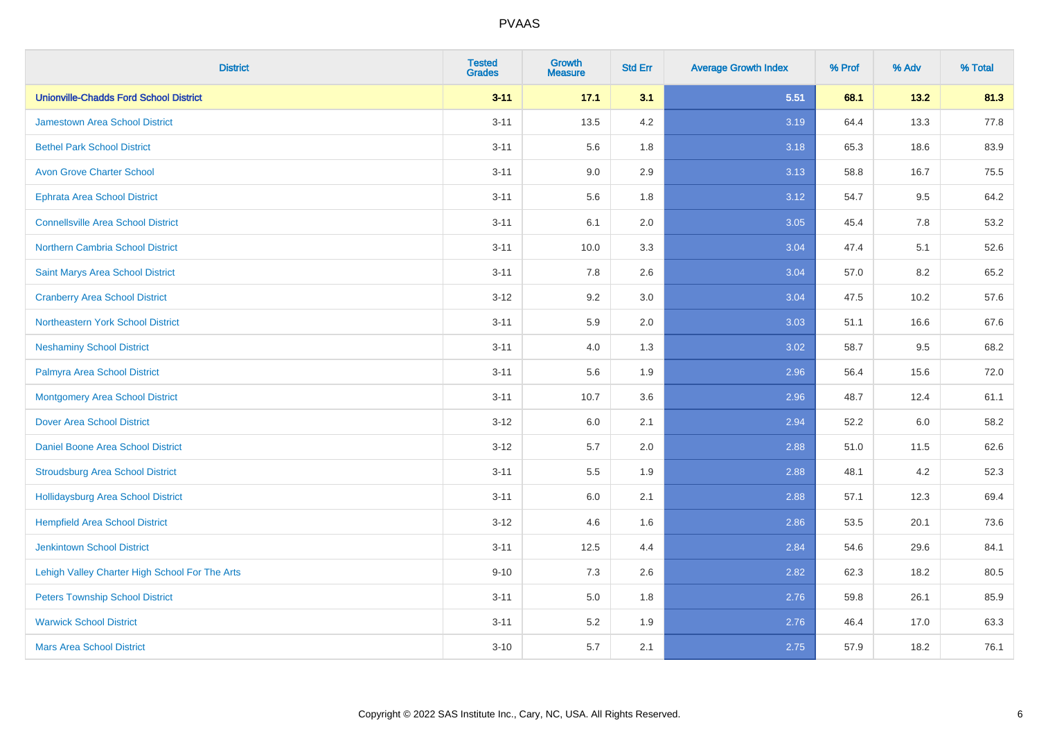| <b>District</b>                                | <b>Tested</b><br><b>Grades</b> | <b>Growth</b><br><b>Measure</b> | <b>Std Err</b> | <b>Average Growth Index</b> | % Prof | % Adv | % Total |
|------------------------------------------------|--------------------------------|---------------------------------|----------------|-----------------------------|--------|-------|---------|
| <b>Unionville-Chadds Ford School District</b>  | $3 - 11$                       | 17.1                            | 3.1            | 5.51                        | 68.1   | 13.2  | 81.3    |
| <b>Jamestown Area School District</b>          | $3 - 11$                       | 13.5                            | 4.2            | 3.19                        | 64.4   | 13.3  | 77.8    |
| <b>Bethel Park School District</b>             | $3 - 11$                       | 5.6                             | 1.8            | 3.18                        | 65.3   | 18.6  | 83.9    |
| <b>Avon Grove Charter School</b>               | $3 - 11$                       | 9.0                             | 2.9            | 3.13                        | 58.8   | 16.7  | 75.5    |
| <b>Ephrata Area School District</b>            | $3 - 11$                       | 5.6                             | 1.8            | 3.12                        | 54.7   | 9.5   | 64.2    |
| <b>Connellsville Area School District</b>      | $3 - 11$                       | 6.1                             | 2.0            | 3.05                        | 45.4   | 7.8   | 53.2    |
| Northern Cambria School District               | $3 - 11$                       | 10.0                            | 3.3            | 3.04                        | 47.4   | 5.1   | 52.6    |
| Saint Marys Area School District               | $3 - 11$                       | 7.8                             | 2.6            | 3.04                        | 57.0   | 8.2   | 65.2    |
| <b>Cranberry Area School District</b>          | $3 - 12$                       | 9.2                             | 3.0            | 3.04                        | 47.5   | 10.2  | 57.6    |
| Northeastern York School District              | $3 - 11$                       | 5.9                             | 2.0            | 3.03                        | 51.1   | 16.6  | 67.6    |
| <b>Neshaminy School District</b>               | $3 - 11$                       | 4.0                             | 1.3            | 3.02                        | 58.7   | 9.5   | 68.2    |
| Palmyra Area School District                   | $3 - 11$                       | 5.6                             | 1.9            | 2.96                        | 56.4   | 15.6  | 72.0    |
| <b>Montgomery Area School District</b>         | $3 - 11$                       | 10.7                            | 3.6            | 2.96                        | 48.7   | 12.4  | 61.1    |
| <b>Dover Area School District</b>              | $3 - 12$                       | 6.0                             | 2.1            | 2.94                        | 52.2   | 6.0   | 58.2    |
| <b>Daniel Boone Area School District</b>       | $3 - 12$                       | 5.7                             | 2.0            | 2.88                        | 51.0   | 11.5  | 62.6    |
| <b>Stroudsburg Area School District</b>        | $3 - 11$                       | 5.5                             | 1.9            | 2.88                        | 48.1   | 4.2   | 52.3    |
| <b>Hollidaysburg Area School District</b>      | $3 - 11$                       | 6.0                             | 2.1            | 2.88                        | 57.1   | 12.3  | 69.4    |
| <b>Hempfield Area School District</b>          | $3 - 12$                       | 4.6                             | 1.6            | 2.86                        | 53.5   | 20.1  | 73.6    |
| <b>Jenkintown School District</b>              | $3 - 11$                       | 12.5                            | 4.4            | 2.84                        | 54.6   | 29.6  | 84.1    |
| Lehigh Valley Charter High School For The Arts | $9 - 10$                       | 7.3                             | 2.6            | 2.82                        | 62.3   | 18.2  | 80.5    |
| <b>Peters Township School District</b>         | $3 - 11$                       | 5.0                             | 1.8            | 2.76                        | 59.8   | 26.1  | 85.9    |
| <b>Warwick School District</b>                 | $3 - 11$                       | 5.2                             | 1.9            | 2.76                        | 46.4   | 17.0  | 63.3    |
| <b>Mars Area School District</b>               | $3 - 10$                       | 5.7                             | 2.1            | 2.75                        | 57.9   | 18.2  | 76.1    |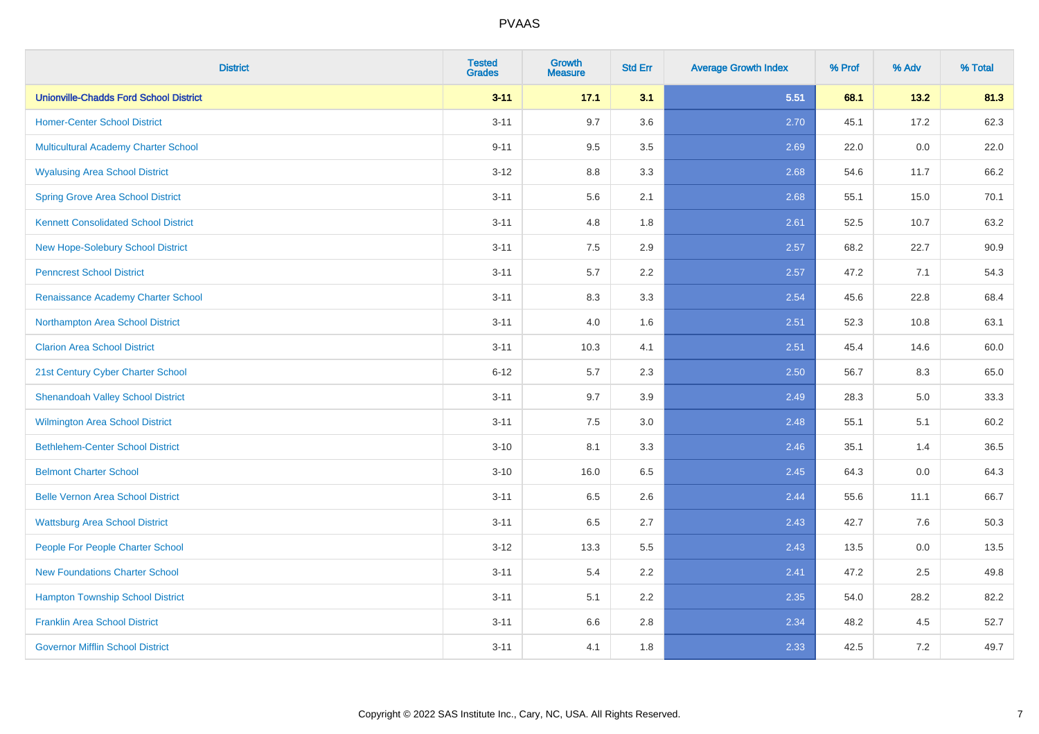| <b>District</b>                               | <b>Tested</b><br><b>Grades</b> | <b>Growth</b><br><b>Measure</b> | <b>Std Err</b> | <b>Average Growth Index</b> | % Prof | % Adv | % Total |
|-----------------------------------------------|--------------------------------|---------------------------------|----------------|-----------------------------|--------|-------|---------|
| <b>Unionville-Chadds Ford School District</b> | $3 - 11$                       | 17.1                            | 3.1            | 5.51                        | 68.1   | 13.2  | 81.3    |
| <b>Homer-Center School District</b>           | $3 - 11$                       | 9.7                             | 3.6            | 2.70                        | 45.1   | 17.2  | 62.3    |
| <b>Multicultural Academy Charter School</b>   | $9 - 11$                       | 9.5                             | 3.5            | 2.69                        | 22.0   | 0.0   | 22.0    |
| <b>Wyalusing Area School District</b>         | $3 - 12$                       | 8.8                             | 3.3            | 2.68                        | 54.6   | 11.7  | 66.2    |
| <b>Spring Grove Area School District</b>      | $3 - 11$                       | 5.6                             | 2.1            | 2.68                        | 55.1   | 15.0  | 70.1    |
| <b>Kennett Consolidated School District</b>   | $3 - 11$                       | 4.8                             | 1.8            | 2.61                        | 52.5   | 10.7  | 63.2    |
| New Hope-Solebury School District             | $3 - 11$                       | 7.5                             | 2.9            | 2.57                        | 68.2   | 22.7  | 90.9    |
| <b>Penncrest School District</b>              | $3 - 11$                       | 5.7                             | 2.2            | 2.57                        | 47.2   | 7.1   | 54.3    |
| Renaissance Academy Charter School            | $3 - 11$                       | 8.3                             | 3.3            | 2.54                        | 45.6   | 22.8  | 68.4    |
| Northampton Area School District              | $3 - 11$                       | 4.0                             | 1.6            | 2.51                        | 52.3   | 10.8  | 63.1    |
| <b>Clarion Area School District</b>           | $3 - 11$                       | 10.3                            | 4.1            | 2.51                        | 45.4   | 14.6  | 60.0    |
| 21st Century Cyber Charter School             | $6 - 12$                       | 5.7                             | 2.3            | 2.50                        | 56.7   | 8.3   | 65.0    |
| <b>Shenandoah Valley School District</b>      | $3 - 11$                       | 9.7                             | 3.9            | 2.49                        | 28.3   | 5.0   | 33.3    |
| <b>Wilmington Area School District</b>        | $3 - 11$                       | 7.5                             | 3.0            | 2.48                        | 55.1   | 5.1   | 60.2    |
| <b>Bethlehem-Center School District</b>       | $3 - 10$                       | 8.1                             | 3.3            | 2.46                        | 35.1   | 1.4   | 36.5    |
| <b>Belmont Charter School</b>                 | $3 - 10$                       | 16.0                            | 6.5            | 2.45                        | 64.3   | 0.0   | 64.3    |
| <b>Belle Vernon Area School District</b>      | $3 - 11$                       | 6.5                             | 2.6            | 2.44                        | 55.6   | 11.1  | 66.7    |
| <b>Wattsburg Area School District</b>         | $3 - 11$                       | 6.5                             | 2.7            | 2.43                        | 42.7   | 7.6   | 50.3    |
| People For People Charter School              | $3 - 12$                       | 13.3                            | 5.5            | 2.43                        | 13.5   | 0.0   | 13.5    |
| <b>New Foundations Charter School</b>         | $3 - 11$                       | 5.4                             | 2.2            | 2.41                        | 47.2   | 2.5   | 49.8    |
| <b>Hampton Township School District</b>       | $3 - 11$                       | 5.1                             | 2.2            | 2.35                        | 54.0   | 28.2  | 82.2    |
| <b>Franklin Area School District</b>          | $3 - 11$                       | 6.6                             | 2.8            | 2.34                        | 48.2   | 4.5   | 52.7    |
| <b>Governor Mifflin School District</b>       | $3 - 11$                       | 4.1                             | 1.8            | 2.33                        | 42.5   | 7.2   | 49.7    |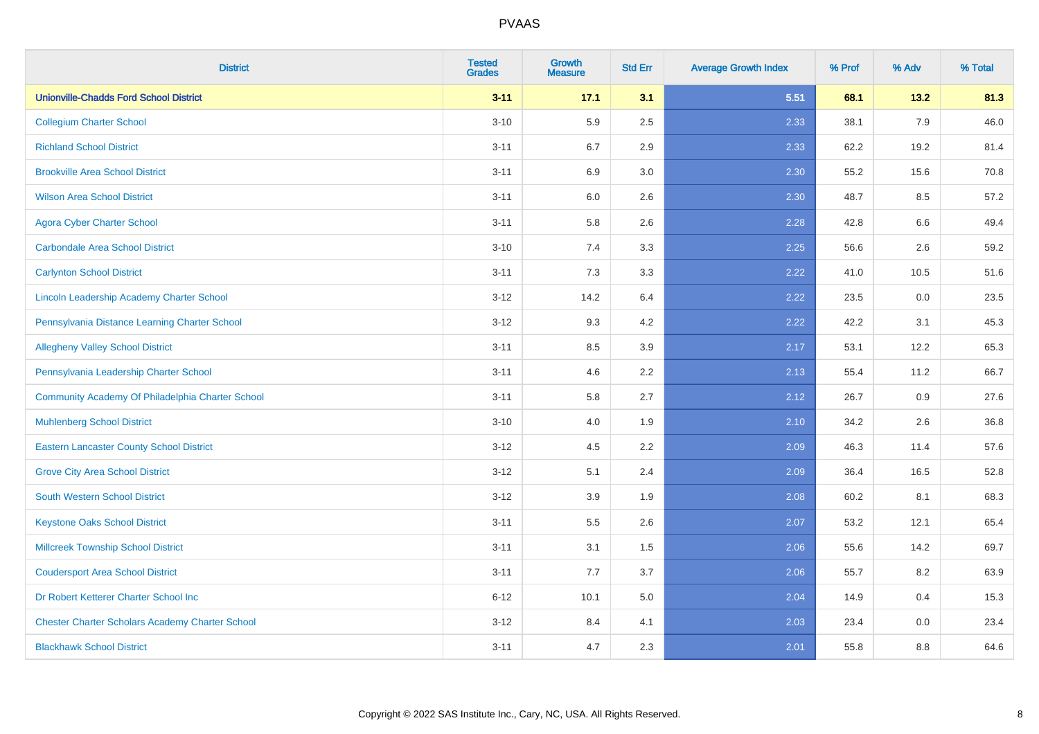| <b>District</b>                                        | <b>Tested</b><br><b>Grades</b> | <b>Growth</b><br><b>Measure</b> | <b>Std Err</b> | <b>Average Growth Index</b> | % Prof | % Adv   | % Total |
|--------------------------------------------------------|--------------------------------|---------------------------------|----------------|-----------------------------|--------|---------|---------|
| <b>Unionville-Chadds Ford School District</b>          | $3 - 11$                       | 17.1                            | 3.1            | 5.51                        | 68.1   | 13.2    | 81.3    |
| <b>Collegium Charter School</b>                        | $3 - 10$                       | 5.9                             | 2.5            | 2.33                        | 38.1   | 7.9     | 46.0    |
| <b>Richland School District</b>                        | $3 - 11$                       | 6.7                             | 2.9            | 2.33                        | 62.2   | 19.2    | 81.4    |
| <b>Brookville Area School District</b>                 | $3 - 11$                       | 6.9                             | 3.0            | 2.30                        | 55.2   | 15.6    | 70.8    |
| <b>Wilson Area School District</b>                     | $3 - 11$                       | 6.0                             | 2.6            | 2.30                        | 48.7   | 8.5     | 57.2    |
| <b>Agora Cyber Charter School</b>                      | $3 - 11$                       | 5.8                             | 2.6            | 2.28                        | 42.8   | 6.6     | 49.4    |
| <b>Carbondale Area School District</b>                 | $3 - 10$                       | 7.4                             | 3.3            | 2.25                        | 56.6   | 2.6     | 59.2    |
| <b>Carlynton School District</b>                       | $3 - 11$                       | 7.3                             | 3.3            | 2.22                        | 41.0   | 10.5    | 51.6    |
| Lincoln Leadership Academy Charter School              | $3 - 12$                       | 14.2                            | 6.4            | 2.22                        | 23.5   | $0.0\,$ | 23.5    |
| Pennsylvania Distance Learning Charter School          | $3 - 12$                       | 9.3                             | 4.2            | 2.22                        | 42.2   | 3.1     | 45.3    |
| <b>Allegheny Valley School District</b>                | $3 - 11$                       | 8.5                             | 3.9            | 2.17                        | 53.1   | 12.2    | 65.3    |
| Pennsylvania Leadership Charter School                 | $3 - 11$                       | 4.6                             | 2.2            | 2.13                        | 55.4   | 11.2    | 66.7    |
| Community Academy Of Philadelphia Charter School       | $3 - 11$                       | 5.8                             | 2.7            | 2.12                        | 26.7   | $0.9\,$ | 27.6    |
| <b>Muhlenberg School District</b>                      | $3 - 10$                       | 4.0                             | 1.9            | 2.10                        | 34.2   | 2.6     | 36.8    |
| <b>Eastern Lancaster County School District</b>        | $3 - 12$                       | 4.5                             | 2.2            | 2.09                        | 46.3   | 11.4    | 57.6    |
| <b>Grove City Area School District</b>                 | $3 - 12$                       | 5.1                             | 2.4            | 2.09                        | 36.4   | 16.5    | 52.8    |
| <b>South Western School District</b>                   | $3 - 12$                       | 3.9                             | 1.9            | 2.08                        | 60.2   | 8.1     | 68.3    |
| <b>Keystone Oaks School District</b>                   | $3 - 11$                       | 5.5                             | 2.6            | 2.07                        | 53.2   | 12.1    | 65.4    |
| <b>Millcreek Township School District</b>              | $3 - 11$                       | 3.1                             | 1.5            | 2.06                        | 55.6   | 14.2    | 69.7    |
| <b>Coudersport Area School District</b>                | $3 - 11$                       | 7.7                             | 3.7            | 2.06                        | 55.7   | 8.2     | 63.9    |
| Dr Robert Ketterer Charter School Inc                  | $6 - 12$                       | 10.1                            | 5.0            | 2.04                        | 14.9   | 0.4     | 15.3    |
| <b>Chester Charter Scholars Academy Charter School</b> | $3 - 12$                       | 8.4                             | 4.1            | 2.03                        | 23.4   | 0.0     | 23.4    |
| <b>Blackhawk School District</b>                       | $3 - 11$                       | 4.7                             | 2.3            | 2.01                        | 55.8   | 8.8     | 64.6    |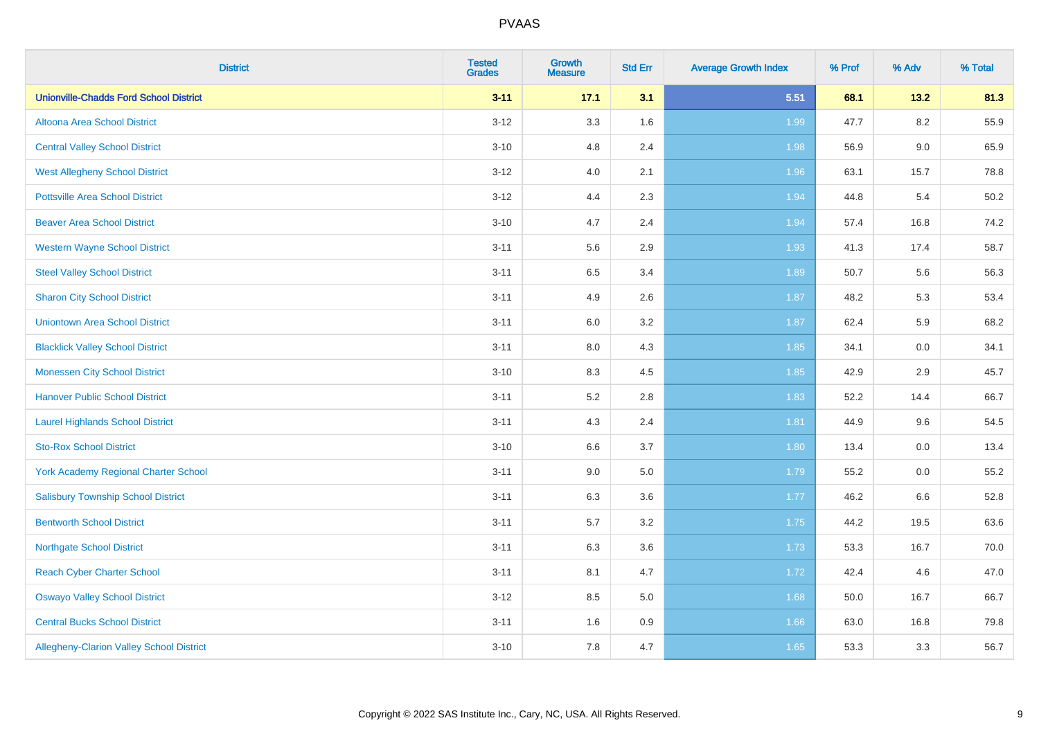| <b>District</b>                               | <b>Tested</b><br><b>Grades</b> | <b>Growth</b><br><b>Measure</b> | <b>Std Err</b> | <b>Average Growth Index</b> | % Prof | % Adv   | % Total |
|-----------------------------------------------|--------------------------------|---------------------------------|----------------|-----------------------------|--------|---------|---------|
| <b>Unionville-Chadds Ford School District</b> | $3 - 11$                       | 17.1                            | 3.1            | 5.51                        | 68.1   | 13.2    | 81.3    |
| Altoona Area School District                  | $3 - 12$                       | 3.3                             | 1.6            | 1.99                        | 47.7   | $8.2\,$ | 55.9    |
| <b>Central Valley School District</b>         | $3 - 10$                       | 4.8                             | 2.4            | 1.98                        | 56.9   | 9.0     | 65.9    |
| <b>West Allegheny School District</b>         | $3-12$                         | 4.0                             | 2.1            | 1.96                        | 63.1   | 15.7    | 78.8    |
| <b>Pottsville Area School District</b>        | $3-12$                         | 4.4                             | 2.3            | 1.94                        | 44.8   | 5.4     | 50.2    |
| <b>Beaver Area School District</b>            | $3 - 10$                       | 4.7                             | 2.4            | 1.94                        | 57.4   | 16.8    | 74.2    |
| <b>Western Wayne School District</b>          | $3 - 11$                       | 5.6                             | 2.9            | 1.93                        | 41.3   | 17.4    | 58.7    |
| <b>Steel Valley School District</b>           | $3 - 11$                       | 6.5                             | 3.4            | 1.89                        | 50.7   | 5.6     | 56.3    |
| <b>Sharon City School District</b>            | $3 - 11$                       | 4.9                             | 2.6            | 1.87                        | 48.2   | 5.3     | 53.4    |
| <b>Uniontown Area School District</b>         | $3 - 11$                       | 6.0                             | 3.2            | 1.87                        | 62.4   | 5.9     | 68.2    |
| <b>Blacklick Valley School District</b>       | $3 - 11$                       | 8.0                             | 4.3            | 1.85                        | 34.1   | 0.0     | 34.1    |
| <b>Monessen City School District</b>          | $3 - 10$                       | 8.3                             | 4.5            | 1.85                        | 42.9   | 2.9     | 45.7    |
| <b>Hanover Public School District</b>         | $3 - 11$                       | 5.2                             | $2.8\,$        | 1.83                        | 52.2   | 14.4    | 66.7    |
| <b>Laurel Highlands School District</b>       | $3 - 11$                       | 4.3                             | 2.4            | 1.81                        | 44.9   | 9.6     | 54.5    |
| <b>Sto-Rox School District</b>                | $3 - 10$                       | 6.6                             | 3.7            | 1.80                        | 13.4   | 0.0     | 13.4    |
| <b>York Academy Regional Charter School</b>   | $3 - 11$                       | 9.0                             | 5.0            | 1.79                        | 55.2   | $0.0\,$ | 55.2    |
| <b>Salisbury Township School District</b>     | $3 - 11$                       | 6.3                             | 3.6            | 1.77                        | 46.2   | 6.6     | 52.8    |
| <b>Bentworth School District</b>              | $3 - 11$                       | 5.7                             | 3.2            | 1.75                        | 44.2   | 19.5    | 63.6    |
| <b>Northgate School District</b>              | $3 - 11$                       | 6.3                             | 3.6            | 1.73                        | 53.3   | 16.7    | 70.0    |
| <b>Reach Cyber Charter School</b>             | $3 - 11$                       | 8.1                             | 4.7            | 1.72                        | 42.4   | 4.6     | 47.0    |
| <b>Oswayo Valley School District</b>          | $3-12$                         | 8.5                             | 5.0            | 1.68                        | 50.0   | 16.7    | 66.7    |
| <b>Central Bucks School District</b>          | $3 - 11$                       | 1.6                             | 0.9            | 1.66                        | 63.0   | 16.8    | 79.8    |
| Allegheny-Clarion Valley School District      | $3 - 10$                       | 7.8                             | 4.7            | 1.65                        | 53.3   | 3.3     | 56.7    |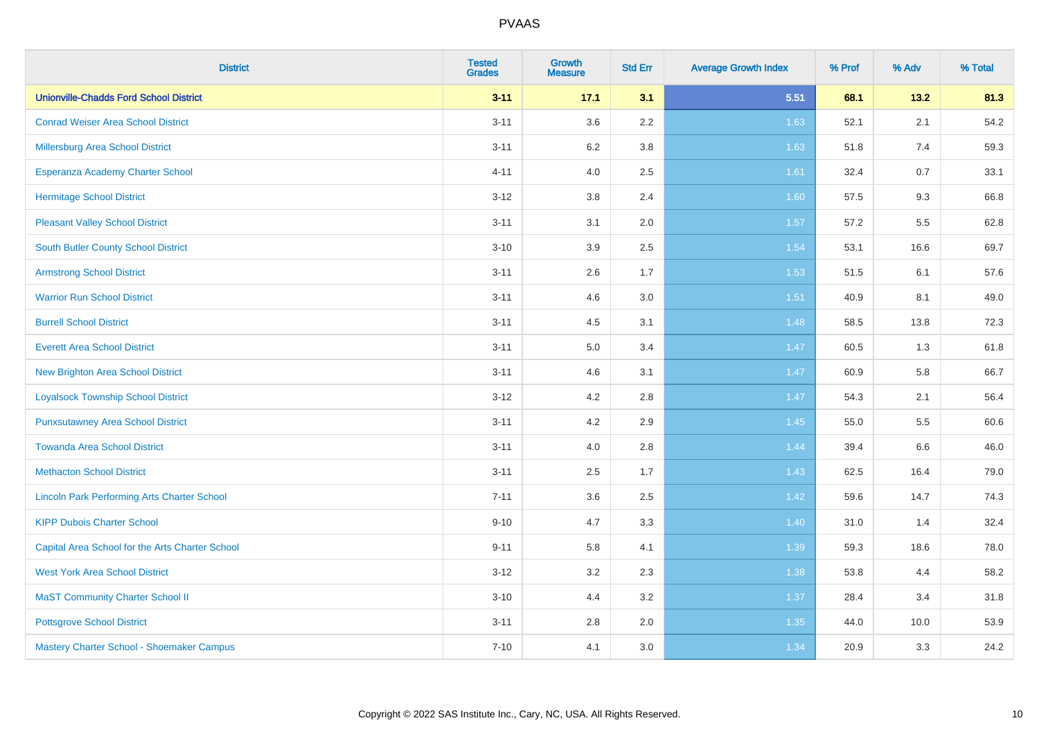| <b>District</b>                                    | <b>Tested</b><br><b>Grades</b> | <b>Growth</b><br><b>Measure</b> | <b>Std Err</b> | <b>Average Growth Index</b> | % Prof | % Adv | % Total |
|----------------------------------------------------|--------------------------------|---------------------------------|----------------|-----------------------------|--------|-------|---------|
| <b>Unionville-Chadds Ford School District</b>      | $3 - 11$                       | 17.1                            | 3.1            | 5.51                        | 68.1   | 13.2  | 81.3    |
| <b>Conrad Weiser Area School District</b>          | $3 - 11$                       | 3.6                             | $2.2\,$        | 1.63                        | 52.1   | 2.1   | 54.2    |
| Millersburg Area School District                   | $3 - 11$                       | 6.2                             | 3.8            | 1.63                        | 51.8   | 7.4   | 59.3    |
| Esperanza Academy Charter School                   | $4 - 11$                       | 4.0                             | 2.5            | 1.61                        | 32.4   | 0.7   | 33.1    |
| <b>Hermitage School District</b>                   | $3 - 12$                       | 3.8                             | 2.4            | 1.60                        | 57.5   | 9.3   | 66.8    |
| <b>Pleasant Valley School District</b>             | $3 - 11$                       | 3.1                             | 2.0            | 1.57                        | 57.2   | 5.5   | 62.8    |
| South Butler County School District                | $3 - 10$                       | 3.9                             | 2.5            | 1.54                        | 53.1   | 16.6  | 69.7    |
| <b>Armstrong School District</b>                   | $3 - 11$                       | 2.6                             | 1.7            | 1.53                        | 51.5   | 6.1   | 57.6    |
| <b>Warrior Run School District</b>                 | $3 - 11$                       | 4.6                             | 3.0            | 1.51                        | 40.9   | 8.1   | 49.0    |
| <b>Burrell School District</b>                     | $3 - 11$                       | 4.5                             | 3.1            | 1.48                        | 58.5   | 13.8  | 72.3    |
| <b>Everett Area School District</b>                | $3 - 11$                       | 5.0                             | 3.4            | 1.47                        | 60.5   | 1.3   | 61.8    |
| <b>New Brighton Area School District</b>           | $3 - 11$                       | 4.6                             | 3.1            | 1.47                        | 60.9   | 5.8   | 66.7    |
| <b>Loyalsock Township School District</b>          | $3 - 12$                       | 4.2                             | $2.8\,$        | 1.47                        | 54.3   | 2.1   | 56.4    |
| <b>Punxsutawney Area School District</b>           | $3 - 11$                       | 4.2                             | 2.9            | 1.45                        | 55.0   | 5.5   | 60.6    |
| <b>Towanda Area School District</b>                | $3 - 11$                       | 4.0                             | 2.8            | 1.44                        | 39.4   | 6.6   | 46.0    |
| <b>Methacton School District</b>                   | $3 - 11$                       | 2.5                             | 1.7            | 1.43                        | 62.5   | 16.4  | 79.0    |
| <b>Lincoln Park Performing Arts Charter School</b> | $7 - 11$                       | 3.6                             | 2.5            | 1.42                        | 59.6   | 14.7  | 74.3    |
| <b>KIPP Dubois Charter School</b>                  | $9 - 10$                       | 4.7                             | 3.3            | $1.40$                      | 31.0   | 1.4   | 32.4    |
| Capital Area School for the Arts Charter School    | $9 - 11$                       | 5.8                             | 4.1            | 1.39                        | 59.3   | 18.6  | 78.0    |
| <b>West York Area School District</b>              | $3 - 12$                       | 3.2                             | 2.3            | 1.38                        | 53.8   | 4.4   | 58.2    |
| <b>MaST Community Charter School II</b>            | $3 - 10$                       | 4.4                             | 3.2            | 1.37                        | 28.4   | 3.4   | 31.8    |
| <b>Pottsgrove School District</b>                  | $3 - 11$                       | 2.8                             | 2.0            | 1.35                        | 44.0   | 10.0  | 53.9    |
| Mastery Charter School - Shoemaker Campus          | $7 - 10$                       | 4.1                             | 3.0            | 1.34                        | 20.9   | 3.3   | 24.2    |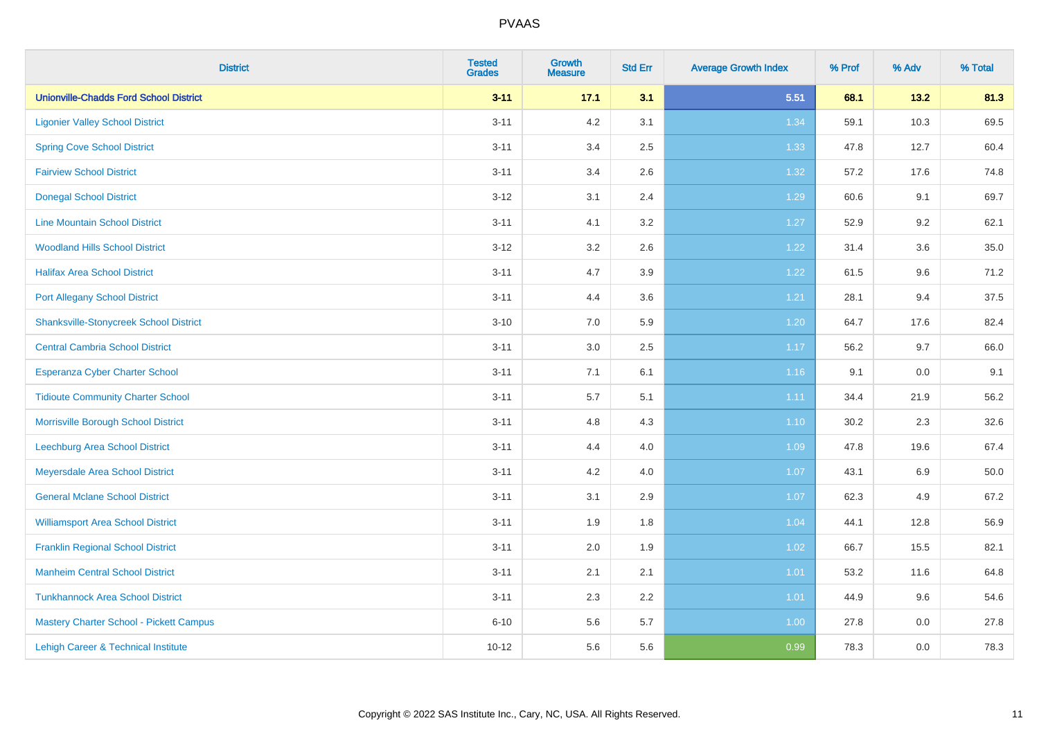| <b>District</b>                               | <b>Tested</b><br><b>Grades</b> | <b>Growth</b><br><b>Measure</b> | <b>Std Err</b> | <b>Average Growth Index</b> | % Prof | % Adv | % Total |
|-----------------------------------------------|--------------------------------|---------------------------------|----------------|-----------------------------|--------|-------|---------|
| <b>Unionville-Chadds Ford School District</b> | $3 - 11$                       | 17.1                            | 3.1            | 5.51                        | 68.1   | 13.2  | 81.3    |
| <b>Ligonier Valley School District</b>        | $3 - 11$                       | 4.2                             | 3.1            | 1.34                        | 59.1   | 10.3  | 69.5    |
| <b>Spring Cove School District</b>            | $3 - 11$                       | 3.4                             | 2.5            | 1.33                        | 47.8   | 12.7  | 60.4    |
| <b>Fairview School District</b>               | $3 - 11$                       | 3.4                             | 2.6            | 1.32                        | 57.2   | 17.6  | 74.8    |
| <b>Donegal School District</b>                | $3 - 12$                       | 3.1                             | 2.4            | 1.29                        | 60.6   | 9.1   | 69.7    |
| <b>Line Mountain School District</b>          | $3 - 11$                       | 4.1                             | 3.2            | 1.27                        | 52.9   | 9.2   | 62.1    |
| <b>Woodland Hills School District</b>         | $3 - 12$                       | 3.2                             | 2.6            | 1.22                        | 31.4   | 3.6   | 35.0    |
| <b>Halifax Area School District</b>           | $3 - 11$                       | 4.7                             | 3.9            | 1.22                        | 61.5   | 9.6   | 71.2    |
| <b>Port Allegany School District</b>          | $3 - 11$                       | 4.4                             | 3.6            | 1.21                        | 28.1   | 9.4   | 37.5    |
| <b>Shanksville-Stonycreek School District</b> | $3 - 10$                       | 7.0                             | 5.9            | 1.20                        | 64.7   | 17.6  | 82.4    |
| <b>Central Cambria School District</b>        | $3 - 11$                       | 3.0                             | 2.5            | 1.17                        | 56.2   | 9.7   | 66.0    |
| Esperanza Cyber Charter School                | $3 - 11$                       | 7.1                             | 6.1            | 1.16                        | 9.1    | 0.0   | 9.1     |
| <b>Tidioute Community Charter School</b>      | $3 - 11$                       | $5.7\,$                         | 5.1            | 1.11                        | 34.4   | 21.9  | 56.2    |
| Morrisville Borough School District           | $3 - 11$                       | 4.8                             | 4.3            | 1.10                        | 30.2   | 2.3   | 32.6    |
| <b>Leechburg Area School District</b>         | $3 - 11$                       | 4.4                             | 4.0            | 1.09                        | 47.8   | 19.6  | 67.4    |
| Meyersdale Area School District               | $3 - 11$                       | 4.2                             | 4.0            | 1.07                        | 43.1   | 6.9   | 50.0    |
| <b>General Mclane School District</b>         | $3 - 11$                       | 3.1                             | 2.9            | 1.07                        | 62.3   | 4.9   | 67.2    |
| <b>Williamsport Area School District</b>      | $3 - 11$                       | 1.9                             | 1.8            | 1.04                        | 44.1   | 12.8  | 56.9    |
| <b>Franklin Regional School District</b>      | $3 - 11$                       | 2.0                             | 1.9            | 1.02                        | 66.7   | 15.5  | 82.1    |
| <b>Manheim Central School District</b>        | $3 - 11$                       | 2.1                             | 2.1            | $1.01$                      | 53.2   | 11.6  | 64.8    |
| <b>Tunkhannock Area School District</b>       | $3 - 11$                       | 2.3                             | 2.2            | 1.01                        | 44.9   | 9.6   | 54.6    |
| Mastery Charter School - Pickett Campus       | $6 - 10$                       | 5.6                             | 5.7            | 1.00                        | 27.8   | 0.0   | 27.8    |
| Lehigh Career & Technical Institute           | $10 - 12$                      | 5.6                             | 5.6            | 0.99                        | 78.3   | 0.0   | 78.3    |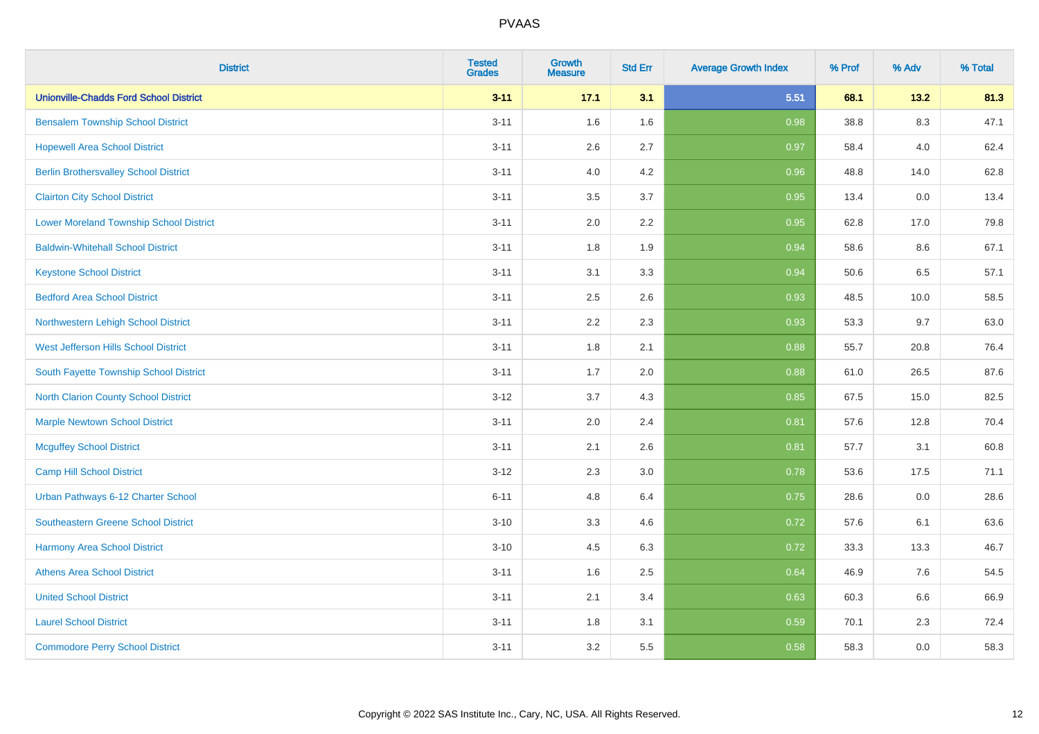| <b>District</b>                                | <b>Tested</b><br><b>Grades</b> | Growth<br><b>Measure</b> | <b>Std Err</b> | <b>Average Growth Index</b> | % Prof | % Adv | % Total |
|------------------------------------------------|--------------------------------|--------------------------|----------------|-----------------------------|--------|-------|---------|
| <b>Unionville-Chadds Ford School District</b>  | $3 - 11$                       | 17.1                     | 3.1            | 5.51                        | 68.1   | 13.2  | 81.3    |
| <b>Bensalem Township School District</b>       | $3 - 11$                       | 1.6                      | 1.6            | 0.98                        | 38.8   | 8.3   | 47.1    |
| <b>Hopewell Area School District</b>           | $3 - 11$                       | 2.6                      | 2.7            | 0.97                        | 58.4   | 4.0   | 62.4    |
| <b>Berlin Brothersvalley School District</b>   | $3 - 11$                       | 4.0                      | 4.2            | 0.96                        | 48.8   | 14.0  | 62.8    |
| <b>Clairton City School District</b>           | $3 - 11$                       | 3.5                      | 3.7            | 0.95                        | 13.4   | 0.0   | 13.4    |
| <b>Lower Moreland Township School District</b> | $3 - 11$                       | 2.0                      | 2.2            | 0.95                        | 62.8   | 17.0  | 79.8    |
| <b>Baldwin-Whitehall School District</b>       | $3 - 11$                       | 1.8                      | 1.9            | 0.94                        | 58.6   | 8.6   | 67.1    |
| <b>Keystone School District</b>                | $3 - 11$                       | 3.1                      | 3.3            | 0.94                        | 50.6   | 6.5   | 57.1    |
| <b>Bedford Area School District</b>            | $3 - 11$                       | 2.5                      | 2.6            | 0.93                        | 48.5   | 10.0  | 58.5    |
| Northwestern Lehigh School District            | $3 - 11$                       | 2.2                      | 2.3            | 0.93                        | 53.3   | 9.7   | 63.0    |
| West Jefferson Hills School District           | $3 - 11$                       | 1.8                      | 2.1            | 0.88                        | 55.7   | 20.8  | 76.4    |
| South Fayette Township School District         | $3 - 11$                       | 1.7                      | 2.0            | 0.88                        | 61.0   | 26.5  | 87.6    |
| <b>North Clarion County School District</b>    | $3 - 12$                       | 3.7                      | 4.3            | 0.85                        | 67.5   | 15.0  | 82.5    |
| <b>Marple Newtown School District</b>          | $3 - 11$                       | 2.0                      | 2.4            | 0.81                        | 57.6   | 12.8  | 70.4    |
| <b>Mcguffey School District</b>                | $3 - 11$                       | 2.1                      | 2.6            | 0.81                        | 57.7   | 3.1   | 60.8    |
| Camp Hill School District                      | $3-12$                         | 2.3                      | 3.0            | 0.78                        | 53.6   | 17.5  | 71.1    |
| Urban Pathways 6-12 Charter School             | $6 - 11$                       | 4.8                      | 6.4            | 0.75                        | 28.6   | 0.0   | 28.6    |
| Southeastern Greene School District            | $3 - 10$                       | 3.3                      | 4.6            | 0.72                        | 57.6   | 6.1   | 63.6    |
| <b>Harmony Area School District</b>            | $3 - 10$                       | 4.5                      | 6.3            | 0.72                        | 33.3   | 13.3  | 46.7    |
| <b>Athens Area School District</b>             | $3 - 11$                       | 1.6                      | 2.5            | 0.64                        | 46.9   | 7.6   | 54.5    |
| <b>United School District</b>                  | $3 - 11$                       | 2.1                      | 3.4            | 0.63                        | 60.3   | 6.6   | 66.9    |
| <b>Laurel School District</b>                  | $3 - 11$                       | 1.8                      | 3.1            | 0.59                        | 70.1   | 2.3   | 72.4    |
| <b>Commodore Perry School District</b>         | $3 - 11$                       | 3.2                      | 5.5            | 0.58                        | 58.3   | 0.0   | 58.3    |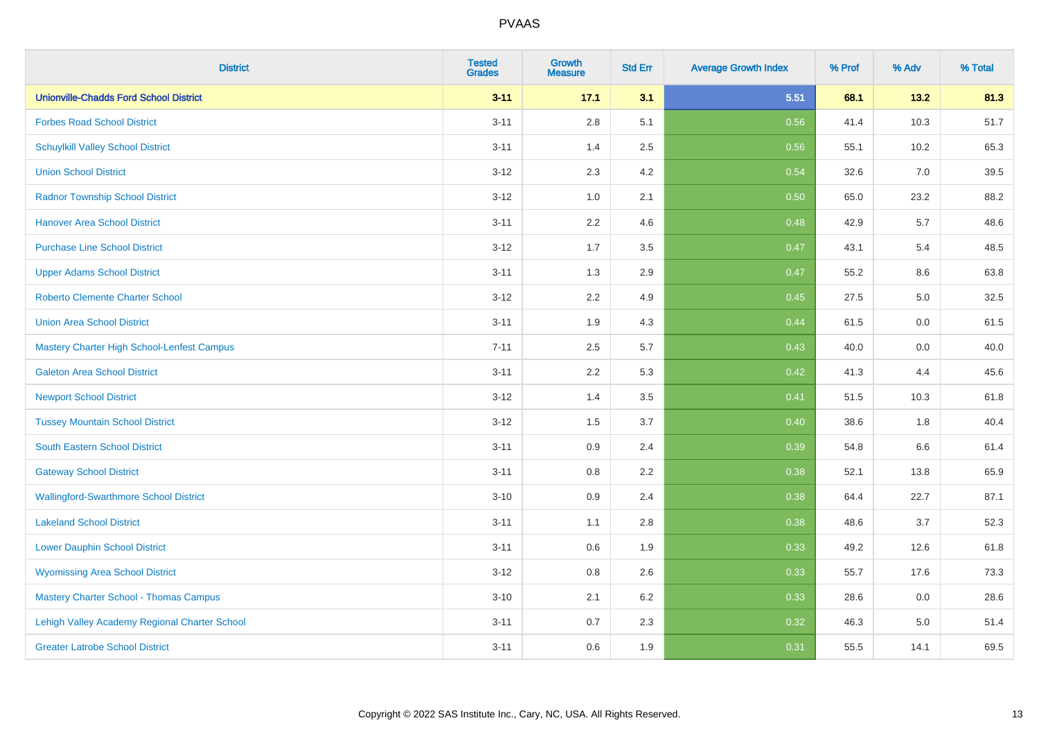| <b>District</b>                               | <b>Tested</b><br><b>Grades</b> | Growth<br><b>Measure</b> | <b>Std Err</b> | <b>Average Growth Index</b> | % Prof | % Adv   | % Total |
|-----------------------------------------------|--------------------------------|--------------------------|----------------|-----------------------------|--------|---------|---------|
| <b>Unionville-Chadds Ford School District</b> | $3 - 11$                       | 17.1                     | 3.1            | 5.51                        | 68.1   | 13.2    | 81.3    |
| <b>Forbes Road School District</b>            | $3 - 11$                       | 2.8                      | 5.1            | 0.56                        | 41.4   | 10.3    | 51.7    |
| <b>Schuylkill Valley School District</b>      | $3 - 11$                       | 1.4                      | 2.5            | 0.56                        | 55.1   | 10.2    | 65.3    |
| <b>Union School District</b>                  | $3 - 12$                       | 2.3                      | 4.2            | 0.54                        | 32.6   | 7.0     | 39.5    |
| <b>Radnor Township School District</b>        | $3-12$                         | 1.0                      | 2.1            | 0.50                        | 65.0   | 23.2    | 88.2    |
| <b>Hanover Area School District</b>           | $3 - 11$                       | 2.2                      | 4.6            | 0.48                        | 42.9   | 5.7     | 48.6    |
| <b>Purchase Line School District</b>          | $3 - 12$                       | 1.7                      | 3.5            | 0.47                        | 43.1   | 5.4     | 48.5    |
| <b>Upper Adams School District</b>            | $3 - 11$                       | 1.3                      | 2.9            | 0.47                        | 55.2   | 8.6     | 63.8    |
| <b>Roberto Clemente Charter School</b>        | $3-12$                         | 2.2                      | 4.9            | 0.45                        | 27.5   | $5.0\,$ | 32.5    |
| <b>Union Area School District</b>             | $3 - 11$                       | 1.9                      | 4.3            | 0.44                        | 61.5   | 0.0     | 61.5    |
| Mastery Charter High School-Lenfest Campus    | $7 - 11$                       | 2.5                      | 5.7            | 0.43                        | 40.0   | 0.0     | 40.0    |
| <b>Galeton Area School District</b>           | $3 - 11$                       | 2.2                      | 5.3            | 0.42                        | 41.3   | 4.4     | 45.6    |
| <b>Newport School District</b>                | $3-12$                         | 1.4                      | 3.5            | 0.41                        | 51.5   | 10.3    | 61.8    |
| <b>Tussey Mountain School District</b>        | $3 - 12$                       | 1.5                      | 3.7            | 0.40                        | 38.6   | 1.8     | 40.4    |
| <b>South Eastern School District</b>          | $3 - 11$                       | 0.9                      | 2.4            | 0.39                        | 54.8   | 6.6     | 61.4    |
| <b>Gateway School District</b>                | $3 - 11$                       | 0.8                      | 2.2            | 0.38                        | 52.1   | 13.8    | 65.9    |
| <b>Wallingford-Swarthmore School District</b> | $3 - 10$                       | 0.9                      | 2.4            | 0.38                        | 64.4   | 22.7    | 87.1    |
| <b>Lakeland School District</b>               | $3 - 11$                       | 1.1                      | 2.8            | 0.38                        | 48.6   | 3.7     | 52.3    |
| <b>Lower Dauphin School District</b>          | $3 - 11$                       | 0.6                      | 1.9            | 0.33                        | 49.2   | 12.6    | 61.8    |
| <b>Wyomissing Area School District</b>        | $3 - 12$                       | 0.8                      | 2.6            | 0.33                        | 55.7   | 17.6    | 73.3    |
| <b>Mastery Charter School - Thomas Campus</b> | $3 - 10$                       | 2.1                      | 6.2            | 0.33                        | 28.6   | 0.0     | 28.6    |
| Lehigh Valley Academy Regional Charter School | $3 - 11$                       | 0.7                      | 2.3            | 0.32                        | 46.3   | 5.0     | 51.4    |
| <b>Greater Latrobe School District</b>        | $3 - 11$                       | 0.6                      | 1.9            | 0.31                        | 55.5   | 14.1    | 69.5    |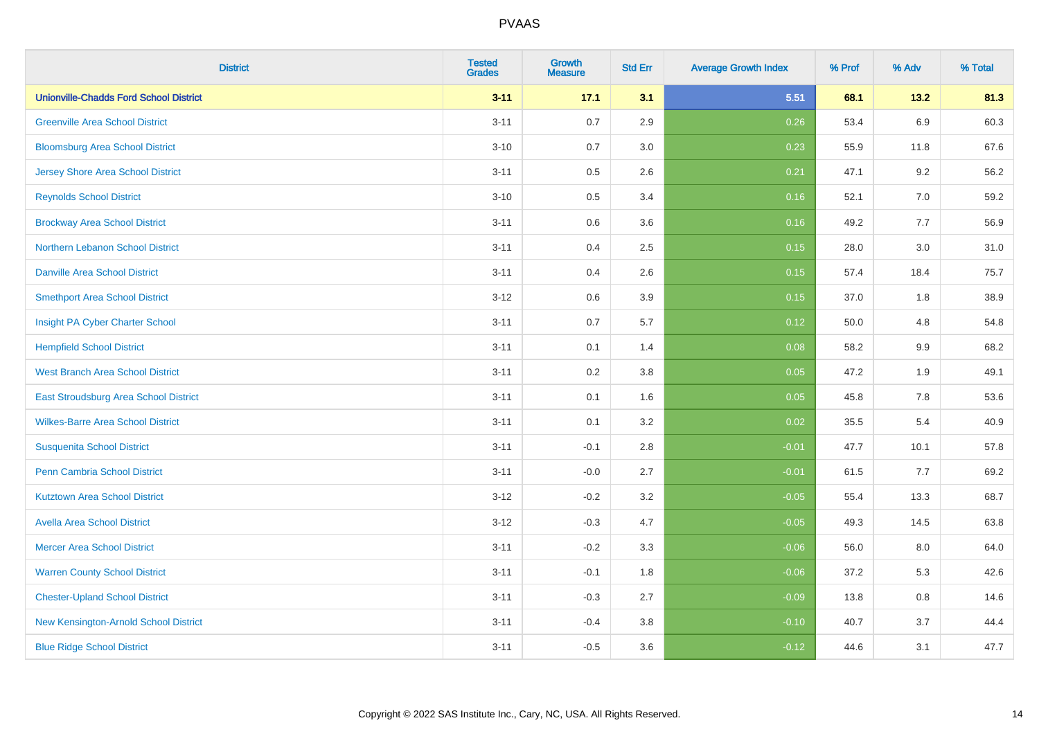| <b>District</b>                               | <b>Tested</b><br><b>Grades</b> | Growth<br><b>Measure</b> | <b>Std Err</b> | <b>Average Growth Index</b> | % Prof | % Adv   | % Total |
|-----------------------------------------------|--------------------------------|--------------------------|----------------|-----------------------------|--------|---------|---------|
| <b>Unionville-Chadds Ford School District</b> | $3 - 11$                       | 17.1                     | 3.1            | 5.51                        | 68.1   | 13.2    | 81.3    |
| <b>Greenville Area School District</b>        | $3 - 11$                       | 0.7                      | 2.9            | 0.26                        | 53.4   | 6.9     | 60.3    |
| <b>Bloomsburg Area School District</b>        | $3 - 10$                       | 0.7                      | 3.0            | 0.23                        | 55.9   | 11.8    | 67.6    |
| <b>Jersey Shore Area School District</b>      | $3 - 11$                       | 0.5                      | 2.6            | 0.21                        | 47.1   | 9.2     | 56.2    |
| <b>Reynolds School District</b>               | $3 - 10$                       | 0.5                      | 3.4            | 0.16                        | 52.1   | 7.0     | 59.2    |
| <b>Brockway Area School District</b>          | $3 - 11$                       | 0.6                      | 3.6            | 0.16                        | 49.2   | 7.7     | 56.9    |
| Northern Lebanon School District              | $3 - 11$                       | 0.4                      | 2.5            | 0.15                        | 28.0   | 3.0     | 31.0    |
| <b>Danville Area School District</b>          | $3 - 11$                       | 0.4                      | 2.6            | 0.15                        | 57.4   | 18.4    | 75.7    |
| <b>Smethport Area School District</b>         | $3 - 12$                       | 0.6                      | 3.9            | 0.15                        | 37.0   | 1.8     | 38.9    |
| Insight PA Cyber Charter School               | $3 - 11$                       | 0.7                      | 5.7            | 0.12                        | 50.0   | 4.8     | 54.8    |
| <b>Hempfield School District</b>              | $3 - 11$                       | 0.1                      | 1.4            | 0.08                        | 58.2   | 9.9     | 68.2    |
| <b>West Branch Area School District</b>       | $3 - 11$                       | 0.2                      | 3.8            | 0.05                        | 47.2   | 1.9     | 49.1    |
| East Stroudsburg Area School District         | $3 - 11$                       | 0.1                      | 1.6            | 0.05                        | 45.8   | $7.8\,$ | 53.6    |
| <b>Wilkes-Barre Area School District</b>      | $3 - 11$                       | 0.1                      | 3.2            | 0.02                        | 35.5   | 5.4     | 40.9    |
| <b>Susquenita School District</b>             | $3 - 11$                       | $-0.1$                   | 2.8            | $-0.01$                     | 47.7   | 10.1    | 57.8    |
| <b>Penn Cambria School District</b>           | $3 - 11$                       | $-0.0$                   | 2.7            | $-0.01$                     | 61.5   | 7.7     | 69.2    |
| <b>Kutztown Area School District</b>          | $3 - 12$                       | $-0.2$                   | 3.2            | $-0.05$                     | 55.4   | 13.3    | 68.7    |
| <b>Avella Area School District</b>            | $3 - 12$                       | $-0.3$                   | 4.7            | $-0.05$                     | 49.3   | 14.5    | 63.8    |
| <b>Mercer Area School District</b>            | $3 - 11$                       | $-0.2$                   | 3.3            | $-0.06$                     | 56.0   | 8.0     | 64.0    |
| <b>Warren County School District</b>          | $3 - 11$                       | $-0.1$                   | 1.8            | $-0.06$                     | 37.2   | 5.3     | 42.6    |
| <b>Chester-Upland School District</b>         | $3 - 11$                       | $-0.3$                   | 2.7            | $-0.09$                     | 13.8   | 0.8     | 14.6    |
| New Kensington-Arnold School District         | $3 - 11$                       | $-0.4$                   | 3.8            | $-0.10$                     | 40.7   | 3.7     | 44.4    |
| <b>Blue Ridge School District</b>             | $3 - 11$                       | $-0.5$                   | 3.6            | $-0.12$                     | 44.6   | 3.1     | 47.7    |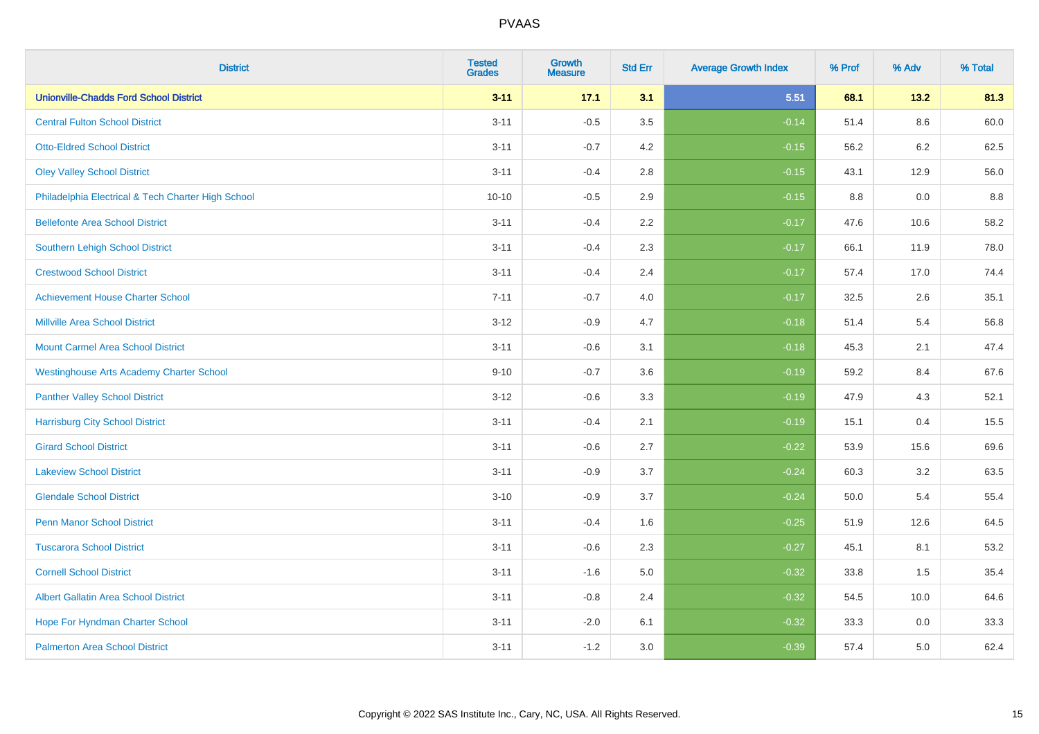| <b>District</b>                                    | <b>Tested</b><br><b>Grades</b> | <b>Growth</b><br><b>Measure</b> | <b>Std Err</b> | <b>Average Growth Index</b> | % Prof | % Adv | % Total |
|----------------------------------------------------|--------------------------------|---------------------------------|----------------|-----------------------------|--------|-------|---------|
| <b>Unionville-Chadds Ford School District</b>      | $3 - 11$                       | 17.1                            | 3.1            | 5.51                        | 68.1   | 13.2  | 81.3    |
| <b>Central Fulton School District</b>              | $3 - 11$                       | $-0.5$                          | 3.5            | $-0.14$                     | 51.4   | 8.6   | 60.0    |
| <b>Otto-Eldred School District</b>                 | $3 - 11$                       | $-0.7$                          | 4.2            | $-0.15$                     | 56.2   | 6.2   | 62.5    |
| <b>Oley Valley School District</b>                 | $3 - 11$                       | $-0.4$                          | 2.8            | $-0.15$                     | 43.1   | 12.9  | 56.0    |
| Philadelphia Electrical & Tech Charter High School | $10 - 10$                      | $-0.5$                          | 2.9            | $-0.15$                     | 8.8    | 0.0   | 8.8     |
| <b>Bellefonte Area School District</b>             | $3 - 11$                       | $-0.4$                          | 2.2            | $-0.17$                     | 47.6   | 10.6  | 58.2    |
| <b>Southern Lehigh School District</b>             | $3 - 11$                       | $-0.4$                          | 2.3            | $-0.17$                     | 66.1   | 11.9  | 78.0    |
| <b>Crestwood School District</b>                   | $3 - 11$                       | $-0.4$                          | 2.4            | $-0.17$                     | 57.4   | 17.0  | 74.4    |
| <b>Achievement House Charter School</b>            | $7 - 11$                       | $-0.7$                          | 4.0            | $-0.17$                     | 32.5   | 2.6   | 35.1    |
| <b>Millville Area School District</b>              | $3 - 12$                       | $-0.9$                          | 4.7            | $-0.18$                     | 51.4   | 5.4   | 56.8    |
| <b>Mount Carmel Area School District</b>           | $3 - 11$                       | $-0.6$                          | 3.1            | $-0.18$                     | 45.3   | 2.1   | 47.4    |
| <b>Westinghouse Arts Academy Charter School</b>    | $9 - 10$                       | $-0.7$                          | 3.6            | $-0.19$                     | 59.2   | 8.4   | 67.6    |
| <b>Panther Valley School District</b>              | $3-12$                         | $-0.6$                          | 3.3            | $-0.19$                     | 47.9   | 4.3   | 52.1    |
| <b>Harrisburg City School District</b>             | $3 - 11$                       | $-0.4$                          | 2.1            | $-0.19$                     | 15.1   | 0.4   | 15.5    |
| <b>Girard School District</b>                      | $3 - 11$                       | $-0.6$                          | 2.7            | $-0.22$                     | 53.9   | 15.6  | 69.6    |
| <b>Lakeview School District</b>                    | $3 - 11$                       | $-0.9$                          | 3.7            | $-0.24$                     | 60.3   | 3.2   | 63.5    |
| <b>Glendale School District</b>                    | $3 - 10$                       | $-0.9$                          | 3.7            | $-0.24$                     | 50.0   | 5.4   | 55.4    |
| <b>Penn Manor School District</b>                  | $3 - 11$                       | $-0.4$                          | 1.6            | $-0.25$                     | 51.9   | 12.6  | 64.5    |
| <b>Tuscarora School District</b>                   | $3 - 11$                       | $-0.6$                          | 2.3            | $-0.27$                     | 45.1   | 8.1   | 53.2    |
| <b>Cornell School District</b>                     | $3 - 11$                       | $-1.6$                          | 5.0            | $-0.32$                     | 33.8   | 1.5   | 35.4    |
| <b>Albert Gallatin Area School District</b>        | $3 - 11$                       | $-0.8$                          | 2.4            | $-0.32$                     | 54.5   | 10.0  | 64.6    |
| Hope For Hyndman Charter School                    | $3 - 11$                       | $-2.0$                          | 6.1            | $-0.32$                     | 33.3   | 0.0   | 33.3    |
| <b>Palmerton Area School District</b>              | $3 - 11$                       | $-1.2$                          | 3.0            | $-0.39$                     | 57.4   | 5.0   | 62.4    |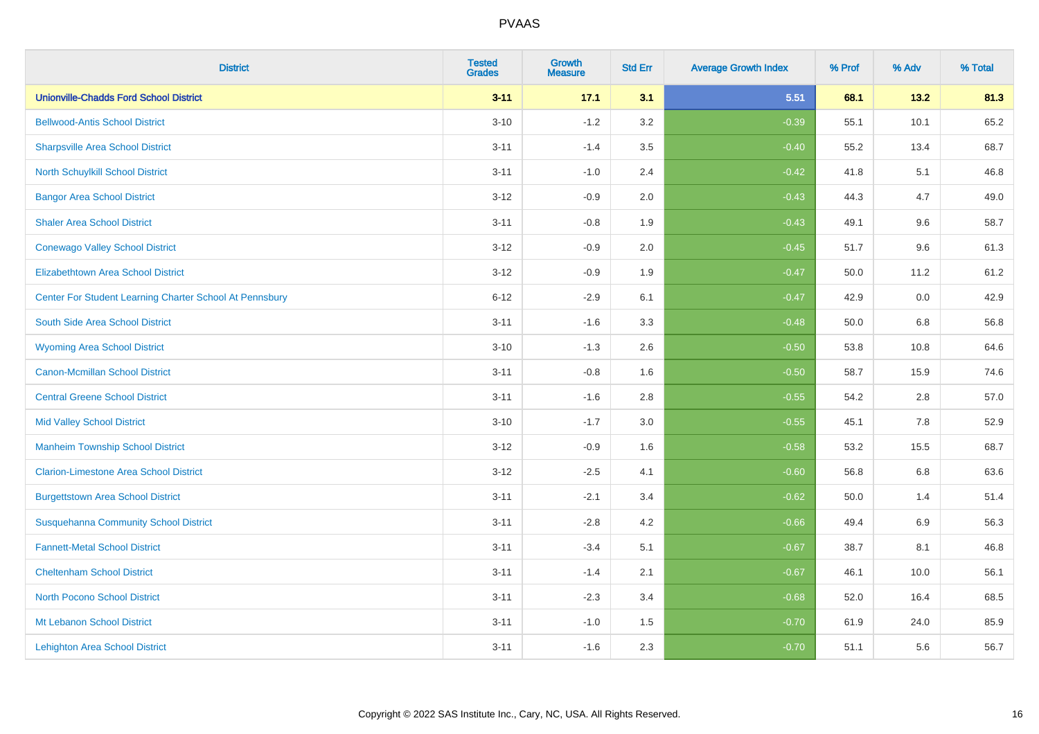| <b>District</b>                                         | <b>Tested</b><br><b>Grades</b> | <b>Growth</b><br><b>Measure</b> | <b>Std Err</b> | <b>Average Growth Index</b> | % Prof | % Adv   | % Total |
|---------------------------------------------------------|--------------------------------|---------------------------------|----------------|-----------------------------|--------|---------|---------|
| <b>Unionville-Chadds Ford School District</b>           | $3 - 11$                       | 17.1                            | 3.1            | 5.51                        | 68.1   | 13.2    | 81.3    |
| <b>Bellwood-Antis School District</b>                   | $3 - 10$                       | $-1.2$                          | 3.2            | $-0.39$                     | 55.1   | 10.1    | 65.2    |
| <b>Sharpsville Area School District</b>                 | $3 - 11$                       | $-1.4$                          | 3.5            | $-0.40$                     | 55.2   | 13.4    | 68.7    |
| North Schuylkill School District                        | $3 - 11$                       | $-1.0$                          | 2.4            | $-0.42$                     | 41.8   | 5.1     | 46.8    |
| <b>Bangor Area School District</b>                      | $3 - 12$                       | $-0.9$                          | 2.0            | $-0.43$                     | 44.3   | 4.7     | 49.0    |
| <b>Shaler Area School District</b>                      | $3 - 11$                       | $-0.8$                          | 1.9            | $-0.43$                     | 49.1   | 9.6     | 58.7    |
| <b>Conewago Valley School District</b>                  | $3 - 12$                       | $-0.9$                          | 2.0            | $-0.45$                     | 51.7   | 9.6     | 61.3    |
| <b>Elizabethtown Area School District</b>               | $3 - 12$                       | $-0.9$                          | 1.9            | $-0.47$                     | 50.0   | 11.2    | 61.2    |
| Center For Student Learning Charter School At Pennsbury | $6 - 12$                       | $-2.9$                          | 6.1            | $-0.47$                     | 42.9   | $0.0\,$ | 42.9    |
| South Side Area School District                         | $3 - 11$                       | $-1.6$                          | 3.3            | $-0.48$                     | 50.0   | 6.8     | 56.8    |
| <b>Wyoming Area School District</b>                     | $3 - 10$                       | $-1.3$                          | 2.6            | $-0.50$                     | 53.8   | 10.8    | 64.6    |
| <b>Canon-Mcmillan School District</b>                   | $3 - 11$                       | $-0.8$                          | 1.6            | $-0.50$                     | 58.7   | 15.9    | 74.6    |
| <b>Central Greene School District</b>                   | $3 - 11$                       | $-1.6$                          | 2.8            | $-0.55$                     | 54.2   | 2.8     | 57.0    |
| <b>Mid Valley School District</b>                       | $3 - 10$                       | $-1.7$                          | 3.0            | $-0.55$                     | 45.1   | 7.8     | 52.9    |
| <b>Manheim Township School District</b>                 | $3 - 12$                       | $-0.9$                          | 1.6            | $-0.58$                     | 53.2   | 15.5    | 68.7    |
| <b>Clarion-Limestone Area School District</b>           | $3 - 12$                       | $-2.5$                          | 4.1            | $-0.60$                     | 56.8   | 6.8     | 63.6    |
| <b>Burgettstown Area School District</b>                | $3 - 11$                       | $-2.1$                          | 3.4            | $-0.62$                     | 50.0   | 1.4     | 51.4    |
| <b>Susquehanna Community School District</b>            | $3 - 11$                       | $-2.8$                          | 4.2            | $-0.66$                     | 49.4   | 6.9     | 56.3    |
| <b>Fannett-Metal School District</b>                    | $3 - 11$                       | $-3.4$                          | 5.1            | $-0.67$                     | 38.7   | 8.1     | 46.8    |
| <b>Cheltenham School District</b>                       | $3 - 11$                       | $-1.4$                          | 2.1            | $-0.67$                     | 46.1   | 10.0    | 56.1    |
| <b>North Pocono School District</b>                     | $3 - 11$                       | $-2.3$                          | 3.4            | $-0.68$                     | 52.0   | 16.4    | 68.5    |
| Mt Lebanon School District                              | $3 - 11$                       | $-1.0$                          | 1.5            | $-0.70$                     | 61.9   | 24.0    | 85.9    |
| <b>Lehighton Area School District</b>                   | $3 - 11$                       | $-1.6$                          | 2.3            | $-0.70$                     | 51.1   | 5.6     | 56.7    |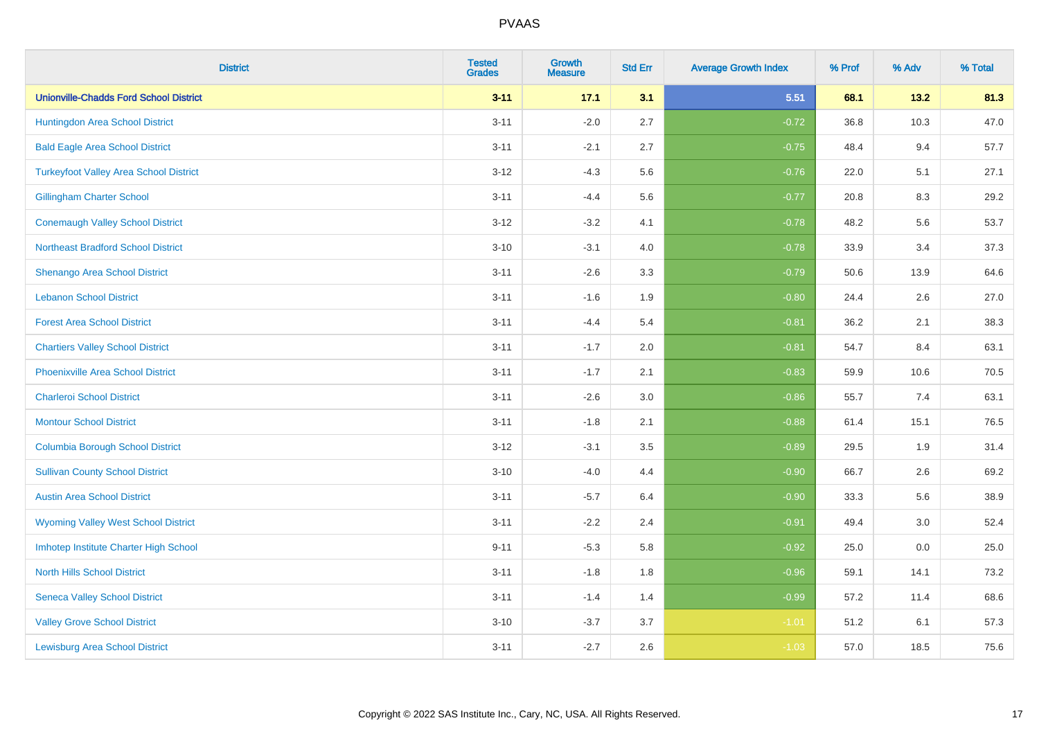| <b>District</b>                               | <b>Tested</b><br><b>Grades</b> | <b>Growth</b><br><b>Measure</b> | <b>Std Err</b> | <b>Average Growth Index</b> | % Prof | % Adv | % Total |
|-----------------------------------------------|--------------------------------|---------------------------------|----------------|-----------------------------|--------|-------|---------|
| <b>Unionville-Chadds Ford School District</b> | $3 - 11$                       | 17.1                            | 3.1            | 5.51                        | 68.1   | 13.2  | 81.3    |
| Huntingdon Area School District               | $3 - 11$                       | $-2.0$                          | 2.7            | $-0.72$                     | 36.8   | 10.3  | 47.0    |
| <b>Bald Eagle Area School District</b>        | $3 - 11$                       | $-2.1$                          | 2.7            | $-0.75$                     | 48.4   | 9.4   | 57.7    |
| <b>Turkeyfoot Valley Area School District</b> | $3 - 12$                       | $-4.3$                          | 5.6            | $-0.76$                     | 22.0   | 5.1   | 27.1    |
| <b>Gillingham Charter School</b>              | $3 - 11$                       | $-4.4$                          | 5.6            | $-0.77$                     | 20.8   | 8.3   | 29.2    |
| <b>Conemaugh Valley School District</b>       | $3 - 12$                       | $-3.2$                          | 4.1            | $-0.78$                     | 48.2   | 5.6   | 53.7    |
| <b>Northeast Bradford School District</b>     | $3 - 10$                       | $-3.1$                          | 4.0            | $-0.78$                     | 33.9   | 3.4   | 37.3    |
| Shenango Area School District                 | $3 - 11$                       | $-2.6$                          | 3.3            | $-0.79$                     | 50.6   | 13.9  | 64.6    |
| <b>Lebanon School District</b>                | $3 - 11$                       | $-1.6$                          | 1.9            | $-0.80$                     | 24.4   | 2.6   | 27.0    |
| <b>Forest Area School District</b>            | $3 - 11$                       | $-4.4$                          | 5.4            | $-0.81$                     | 36.2   | 2.1   | 38.3    |
| <b>Chartiers Valley School District</b>       | $3 - 11$                       | $-1.7$                          | 2.0            | $-0.81$                     | 54.7   | 8.4   | 63.1    |
| <b>Phoenixville Area School District</b>      | $3 - 11$                       | $-1.7$                          | 2.1            | $-0.83$                     | 59.9   | 10.6  | 70.5    |
| <b>Charleroi School District</b>              | $3 - 11$                       | $-2.6$                          | 3.0            | $-0.86$                     | 55.7   | 7.4   | 63.1    |
| <b>Montour School District</b>                | $3 - 11$                       | $-1.8$                          | 2.1            | $-0.88$                     | 61.4   | 15.1  | 76.5    |
| <b>Columbia Borough School District</b>       | $3-12$                         | $-3.1$                          | 3.5            | $-0.89$                     | 29.5   | 1.9   | 31.4    |
| <b>Sullivan County School District</b>        | $3 - 10$                       | $-4.0$                          | 4.4            | $-0.90$                     | 66.7   | 2.6   | 69.2    |
| <b>Austin Area School District</b>            | $3 - 11$                       | $-5.7$                          | 6.4            | $-0.90$                     | 33.3   | 5.6   | 38.9    |
| <b>Wyoming Valley West School District</b>    | $3 - 11$                       | $-2.2$                          | 2.4            | $-0.91$                     | 49.4   | 3.0   | 52.4    |
| Imhotep Institute Charter High School         | $9 - 11$                       | $-5.3$                          | 5.8            | $-0.92$                     | 25.0   | 0.0   | 25.0    |
| <b>North Hills School District</b>            | $3 - 11$                       | $-1.8$                          | 1.8            | $-0.96$                     | 59.1   | 14.1  | 73.2    |
| <b>Seneca Valley School District</b>          | $3 - 11$                       | $-1.4$                          | 1.4            | $-0.99$                     | 57.2   | 11.4  | 68.6    |
| <b>Valley Grove School District</b>           | $3 - 10$                       | $-3.7$                          | 3.7            | $-1.01$                     | 51.2   | 6.1   | 57.3    |
| <b>Lewisburg Area School District</b>         | $3 - 11$                       | $-2.7$                          | 2.6            | $-1.03$                     | 57.0   | 18.5  | 75.6    |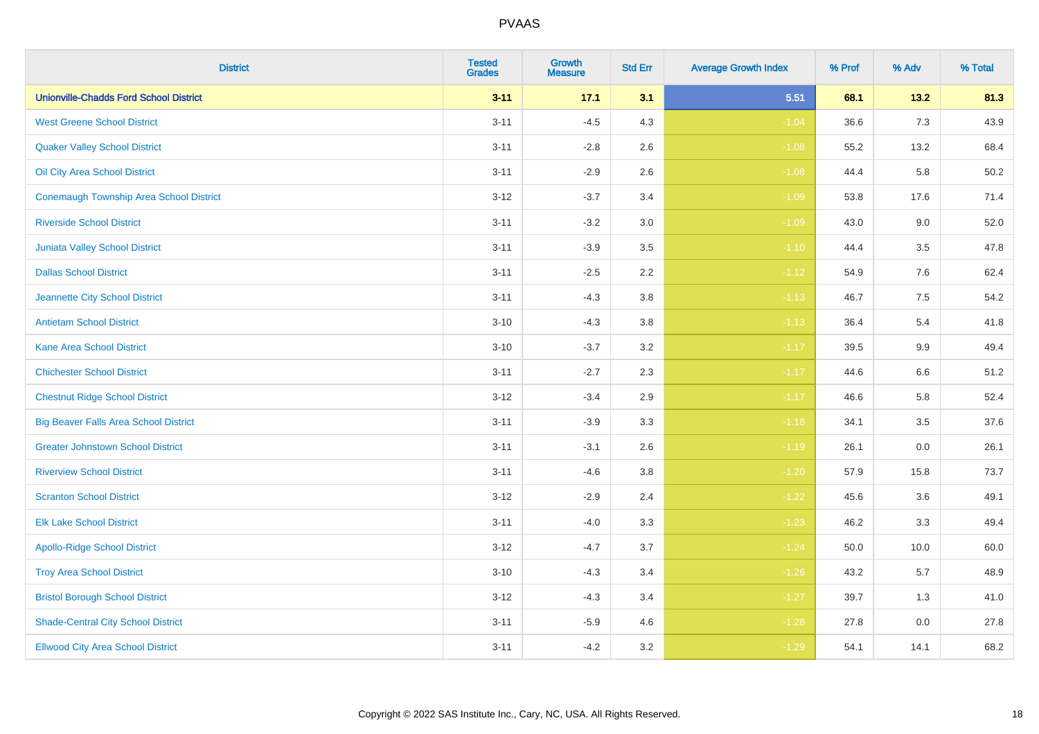| <b>District</b>                                | <b>Tested</b><br><b>Grades</b> | <b>Growth</b><br><b>Measure</b> | <b>Std Err</b> | <b>Average Growth Index</b> | % Prof | % Adv   | % Total |
|------------------------------------------------|--------------------------------|---------------------------------|----------------|-----------------------------|--------|---------|---------|
| <b>Unionville-Chadds Ford School District</b>  | $3 - 11$                       | 17.1                            | 3.1            | 5.51                        | 68.1   | 13.2    | 81.3    |
| <b>West Greene School District</b>             | $3 - 11$                       | $-4.5$                          | 4.3            | $-1.04$                     | 36.6   | 7.3     | 43.9    |
| <b>Quaker Valley School District</b>           | $3 - 11$                       | $-2.8$                          | 2.6            | $-1.08$                     | 55.2   | 13.2    | 68.4    |
| Oil City Area School District                  | $3 - 11$                       | $-2.9$                          | 2.6            | $-1.08$                     | 44.4   | 5.8     | 50.2    |
| <b>Conemaugh Township Area School District</b> | $3 - 12$                       | $-3.7$                          | 3.4            | $-1.09$                     | 53.8   | 17.6    | 71.4    |
| <b>Riverside School District</b>               | $3 - 11$                       | $-3.2$                          | 3.0            | $-1.09$                     | 43.0   | 9.0     | 52.0    |
| Juniata Valley School District                 | $3 - 11$                       | $-3.9$                          | 3.5            | $-1.10$                     | 44.4   | 3.5     | 47.8    |
| <b>Dallas School District</b>                  | $3 - 11$                       | $-2.5$                          | 2.2            | $-1.12$                     | 54.9   | 7.6     | 62.4    |
| Jeannette City School District                 | $3 - 11$                       | $-4.3$                          | 3.8            | $-1.13$                     | 46.7   | 7.5     | 54.2    |
| <b>Antietam School District</b>                | $3 - 10$                       | $-4.3$                          | 3.8            | $-1.13$                     | 36.4   | 5.4     | 41.8    |
| <b>Kane Area School District</b>               | $3 - 10$                       | $-3.7$                          | 3.2            | $-1.17$                     | 39.5   | 9.9     | 49.4    |
| <b>Chichester School District</b>              | $3 - 11$                       | $-2.7$                          | 2.3            | $-1.17$                     | 44.6   | $6.6\,$ | 51.2    |
| <b>Chestnut Ridge School District</b>          | $3 - 12$                       | $-3.4$                          | $2.9\,$        | $-1.17$                     | 46.6   | 5.8     | 52.4    |
| <b>Big Beaver Falls Area School District</b>   | $3 - 11$                       | $-3.9$                          | 3.3            | $-1.18$                     | 34.1   | 3.5     | 37.6    |
| <b>Greater Johnstown School District</b>       | $3 - 11$                       | $-3.1$                          | 2.6            | $-1.19$                     | 26.1   | 0.0     | 26.1    |
| <b>Riverview School District</b>               | $3 - 11$                       | $-4.6$                          | 3.8            | $-1.20$                     | 57.9   | 15.8    | 73.7    |
| <b>Scranton School District</b>                | $3 - 12$                       | $-2.9$                          | 2.4            | $-1.22$                     | 45.6   | 3.6     | 49.1    |
| <b>Elk Lake School District</b>                | $3 - 11$                       | $-4.0$                          | 3.3            | $-1.23$                     | 46.2   | 3.3     | 49.4    |
| <b>Apollo-Ridge School District</b>            | $3 - 12$                       | $-4.7$                          | 3.7            | $-1.24$                     | 50.0   | 10.0    | 60.0    |
| <b>Troy Area School District</b>               | $3 - 10$                       | $-4.3$                          | 3.4            | $-1.26$                     | 43.2   | 5.7     | 48.9    |
| <b>Bristol Borough School District</b>         | $3 - 12$                       | $-4.3$                          | 3.4            | $-1.27$                     | 39.7   | 1.3     | 41.0    |
| <b>Shade-Central City School District</b>      | $3 - 11$                       | $-5.9$                          | 4.6            | $-1.28$                     | 27.8   | 0.0     | 27.8    |
| <b>Ellwood City Area School District</b>       | $3 - 11$                       | $-4.2$                          | 3.2            | $-1.29$                     | 54.1   | 14.1    | 68.2    |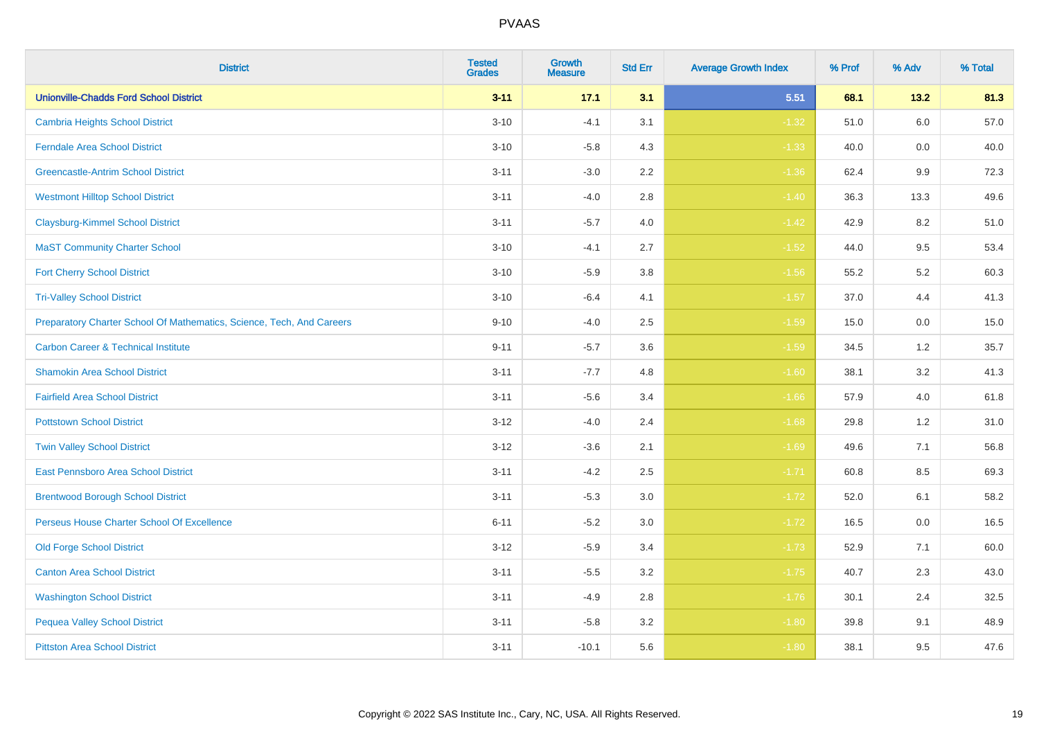| <b>District</b>                                                       | <b>Tested</b><br><b>Grades</b> | <b>Growth</b><br><b>Measure</b> | <b>Std Err</b> | <b>Average Growth Index</b> | % Prof | % Adv | % Total |
|-----------------------------------------------------------------------|--------------------------------|---------------------------------|----------------|-----------------------------|--------|-------|---------|
| <b>Unionville-Chadds Ford School District</b>                         | $3 - 11$                       | 17.1                            | 3.1            | 5.51                        | 68.1   | 13.2  | 81.3    |
| <b>Cambria Heights School District</b>                                | $3 - 10$                       | $-4.1$                          | 3.1            | $-1.32$                     | 51.0   | 6.0   | 57.0    |
| <b>Ferndale Area School District</b>                                  | $3 - 10$                       | $-5.8$                          | 4.3            | $-1.33$                     | 40.0   | 0.0   | 40.0    |
| <b>Greencastle-Antrim School District</b>                             | $3 - 11$                       | $-3.0$                          | 2.2            | $-1.36$                     | 62.4   | 9.9   | 72.3    |
| <b>Westmont Hilltop School District</b>                               | $3 - 11$                       | $-4.0$                          | 2.8            | $-1.40$                     | 36.3   | 13.3  | 49.6    |
| <b>Claysburg-Kimmel School District</b>                               | $3 - 11$                       | $-5.7$                          | 4.0            | $-1.42$                     | 42.9   | 8.2   | 51.0    |
| <b>MaST Community Charter School</b>                                  | $3 - 10$                       | $-4.1$                          | 2.7            | $-1.52$                     | 44.0   | 9.5   | 53.4    |
| <b>Fort Cherry School District</b>                                    | $3 - 10$                       | $-5.9$                          | 3.8            | $-1.56$                     | 55.2   | 5.2   | 60.3    |
| <b>Tri-Valley School District</b>                                     | $3 - 10$                       | $-6.4$                          | 4.1            | $-1.57$                     | 37.0   | 4.4   | 41.3    |
| Preparatory Charter School Of Mathematics, Science, Tech, And Careers | $9 - 10$                       | $-4.0$                          | 2.5            | $-1.59$                     | 15.0   | 0.0   | 15.0    |
| <b>Carbon Career &amp; Technical Institute</b>                        | $9 - 11$                       | $-5.7$                          | 3.6            | $-1.59$                     | 34.5   | $1.2$ | 35.7    |
| <b>Shamokin Area School District</b>                                  | $3 - 11$                       | $-7.7$                          | 4.8            | $-1.60$                     | 38.1   | 3.2   | 41.3    |
| <b>Fairfield Area School District</b>                                 | $3 - 11$                       | $-5.6$                          | 3.4            | $-1.66$                     | 57.9   | 4.0   | 61.8    |
| <b>Pottstown School District</b>                                      | $3 - 12$                       | $-4.0$                          | 2.4            | $-1.68$                     | 29.8   | 1.2   | 31.0    |
| <b>Twin Valley School District</b>                                    | $3 - 12$                       | $-3.6$                          | 2.1            | $-1.69$                     | 49.6   | 7.1   | 56.8    |
| <b>East Pennsboro Area School District</b>                            | $3 - 11$                       | $-4.2$                          | 2.5            | $-1.71$                     | 60.8   | 8.5   | 69.3    |
| <b>Brentwood Borough School District</b>                              | $3 - 11$                       | $-5.3$                          | 3.0            | $-1.72$                     | 52.0   | 6.1   | 58.2    |
| Perseus House Charter School Of Excellence                            | $6 - 11$                       | $-5.2$                          | 3.0            | $-1.72$                     | 16.5   | 0.0   | 16.5    |
| <b>Old Forge School District</b>                                      | $3 - 12$                       | $-5.9$                          | 3.4            | $-1.73$                     | 52.9   | 7.1   | 60.0    |
| <b>Canton Area School District</b>                                    | $3 - 11$                       | $-5.5$                          | 3.2            | $-1.75$                     | 40.7   | 2.3   | 43.0    |
| <b>Washington School District</b>                                     | $3 - 11$                       | $-4.9$                          | 2.8            | $-1.76$                     | 30.1   | 2.4   | 32.5    |
| <b>Pequea Valley School District</b>                                  | $3 - 11$                       | $-5.8$                          | 3.2            | $-1.80$                     | 39.8   | 9.1   | 48.9    |
| <b>Pittston Area School District</b>                                  | $3 - 11$                       | $-10.1$                         | 5.6            | $-1.80$                     | 38.1   | 9.5   | 47.6    |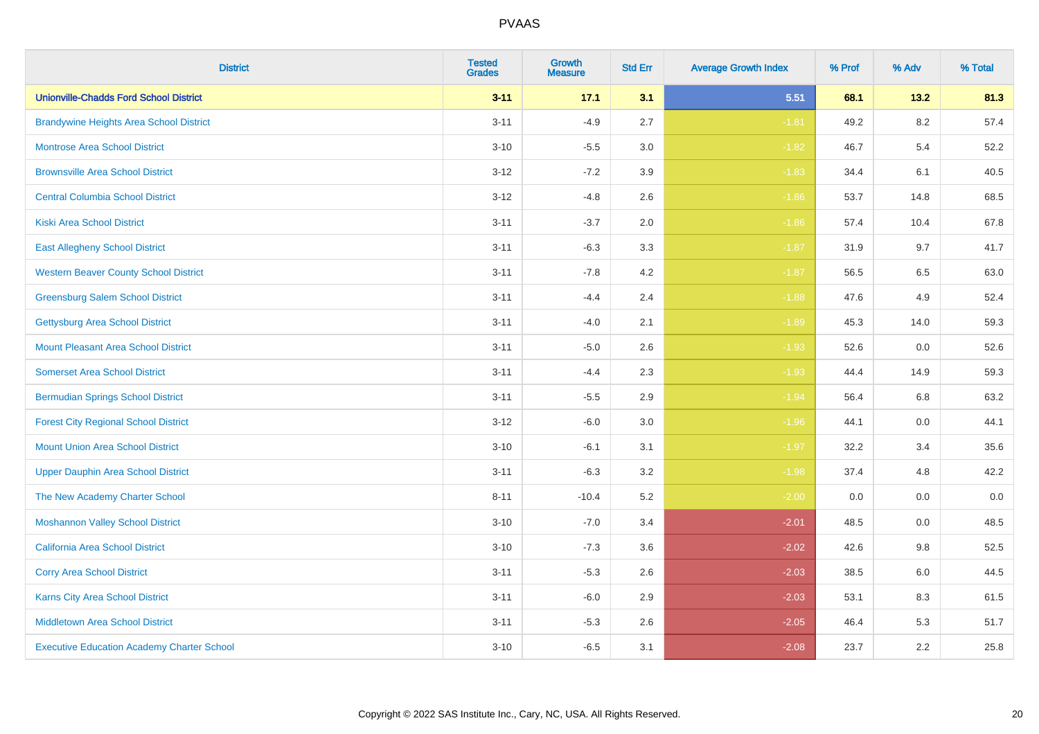| <b>District</b>                                   | <b>Tested</b><br><b>Grades</b> | <b>Growth</b><br><b>Measure</b> | <b>Std Err</b> | <b>Average Growth Index</b> | % Prof | % Adv   | % Total |
|---------------------------------------------------|--------------------------------|---------------------------------|----------------|-----------------------------|--------|---------|---------|
| <b>Unionville-Chadds Ford School District</b>     | $3 - 11$                       | 17.1                            | 3.1            | 5.51                        | 68.1   | 13.2    | 81.3    |
| <b>Brandywine Heights Area School District</b>    | $3 - 11$                       | $-4.9$                          | 2.7            | $-1.81$                     | 49.2   | $8.2\,$ | 57.4    |
| <b>Montrose Area School District</b>              | $3 - 10$                       | $-5.5$                          | 3.0            | $-1.82$                     | 46.7   | 5.4     | 52.2    |
| <b>Brownsville Area School District</b>           | $3 - 12$                       | $-7.2$                          | 3.9            | $-1.83$                     | 34.4   | 6.1     | 40.5    |
| <b>Central Columbia School District</b>           | $3 - 12$                       | $-4.8$                          | 2.6            | $-1.86$                     | 53.7   | 14.8    | 68.5    |
| <b>Kiski Area School District</b>                 | $3 - 11$                       | $-3.7$                          | 2.0            | $-1.86$                     | 57.4   | 10.4    | 67.8    |
| <b>East Allegheny School District</b>             | $3 - 11$                       | $-6.3$                          | 3.3            | $-1.87$                     | 31.9   | 9.7     | 41.7    |
| <b>Western Beaver County School District</b>      | $3 - 11$                       | $-7.8$                          | 4.2            | $-1.87$                     | 56.5   | 6.5     | 63.0    |
| <b>Greensburg Salem School District</b>           | $3 - 11$                       | $-4.4$                          | 2.4            | $-1.88$                     | 47.6   | 4.9     | 52.4    |
| Gettysburg Area School District                   | $3 - 11$                       | $-4.0$                          | 2.1            | $-1.89$                     | 45.3   | 14.0    | 59.3    |
| <b>Mount Pleasant Area School District</b>        | $3 - 11$                       | $-5.0$                          | 2.6            | $-1.93$                     | 52.6   | 0.0     | 52.6    |
| <b>Somerset Area School District</b>              | $3 - 11$                       | $-4.4$                          | 2.3            | $-1.93$                     | 44.4   | 14.9    | 59.3    |
| <b>Bermudian Springs School District</b>          | $3 - 11$                       | $-5.5$                          | 2.9            | $-1.94$                     | 56.4   | $6.8\,$ | 63.2    |
| <b>Forest City Regional School District</b>       | $3 - 12$                       | $-6.0$                          | $3.0\,$        | $-1.96$                     | 44.1   | 0.0     | 44.1    |
| <b>Mount Union Area School District</b>           | $3 - 10$                       | $-6.1$                          | 3.1            | $-1.97$                     | 32.2   | 3.4     | 35.6    |
| <b>Upper Dauphin Area School District</b>         | $3 - 11$                       | $-6.3$                          | 3.2            | $-1.98$                     | 37.4   | 4.8     | 42.2    |
| The New Academy Charter School                    | $8 - 11$                       | $-10.4$                         | 5.2            | $-2.00$                     | 0.0    | 0.0     | $0.0\,$ |
| <b>Moshannon Valley School District</b>           | $3 - 10$                       | $-7.0$                          | 3.4            | $-2.01$                     | 48.5   | 0.0     | 48.5    |
| <b>California Area School District</b>            | $3 - 10$                       | $-7.3$                          | 3.6            | $-2.02$                     | 42.6   | 9.8     | 52.5    |
| <b>Corry Area School District</b>                 | $3 - 11$                       | $-5.3$                          | 2.6            | $-2.03$                     | 38.5   | 6.0     | 44.5    |
| Karns City Area School District                   | $3 - 11$                       | $-6.0$                          | 2.9            | $-2.03$                     | 53.1   | 8.3     | 61.5    |
| <b>Middletown Area School District</b>            | $3 - 11$                       | $-5.3$                          | 2.6            | $-2.05$                     | 46.4   | 5.3     | 51.7    |
| <b>Executive Education Academy Charter School</b> | $3 - 10$                       | $-6.5$                          | 3.1            | $-2.08$                     | 23.7   | 2.2     | 25.8    |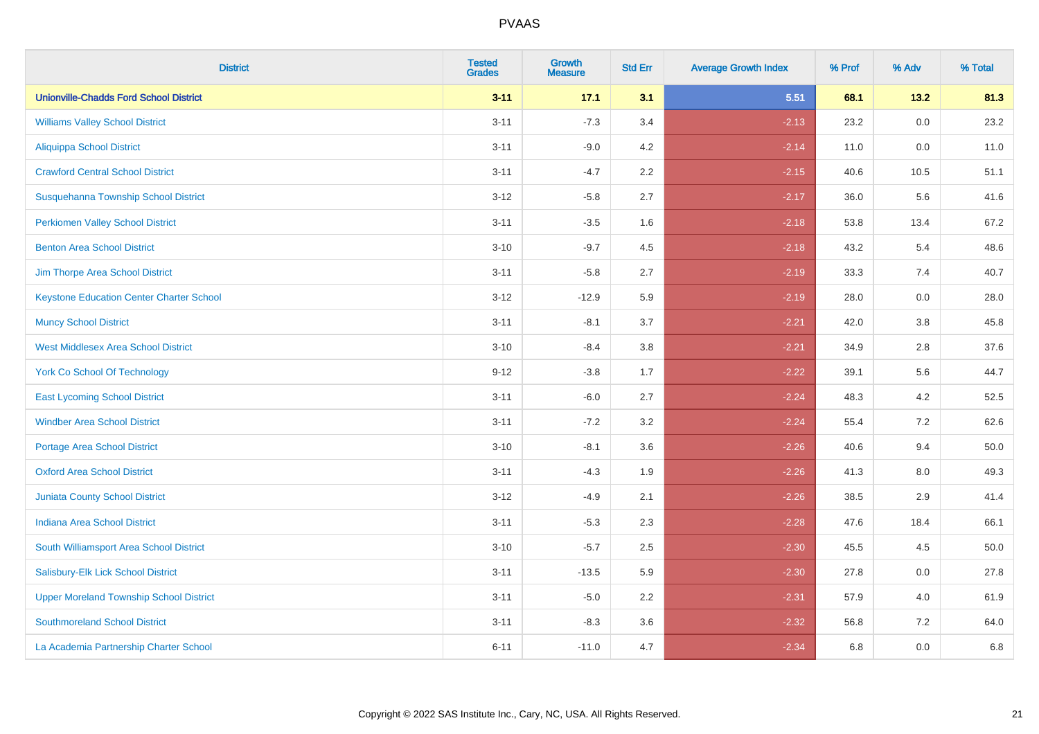| <b>District</b>                                 | <b>Tested</b><br><b>Grades</b> | Growth<br><b>Measure</b> | <b>Std Err</b> | <b>Average Growth Index</b> | % Prof | % Adv   | % Total |
|-------------------------------------------------|--------------------------------|--------------------------|----------------|-----------------------------|--------|---------|---------|
| <b>Unionville-Chadds Ford School District</b>   | $3 - 11$                       | 17.1                     | 3.1            | 5.51                        | 68.1   | 13.2    | 81.3    |
| <b>Williams Valley School District</b>          | $3 - 11$                       | $-7.3$                   | 3.4            | $-2.13$                     | 23.2   | 0.0     | 23.2    |
| <b>Aliquippa School District</b>                | $3 - 11$                       | $-9.0$                   | 4.2            | $-2.14$                     | 11.0   | 0.0     | 11.0    |
| <b>Crawford Central School District</b>         | $3 - 11$                       | $-4.7$                   | 2.2            | $-2.15$                     | 40.6   | 10.5    | 51.1    |
| Susquehanna Township School District            | $3 - 12$                       | $-5.8$                   | 2.7            | $-2.17$                     | 36.0   | 5.6     | 41.6    |
| <b>Perkiomen Valley School District</b>         | $3 - 11$                       | $-3.5$                   | 1.6            | $-2.18$                     | 53.8   | 13.4    | 67.2    |
| <b>Benton Area School District</b>              | $3 - 10$                       | $-9.7$                   | 4.5            | $-2.18$                     | 43.2   | 5.4     | 48.6    |
| Jim Thorpe Area School District                 | $3 - 11$                       | $-5.8$                   | 2.7            | $-2.19$                     | 33.3   | 7.4     | 40.7    |
| <b>Keystone Education Center Charter School</b> | $3 - 12$                       | $-12.9$                  | 5.9            | $-2.19$                     | 28.0   | $0.0\,$ | 28.0    |
| <b>Muncy School District</b>                    | $3 - 11$                       | $-8.1$                   | 3.7            | $-2.21$                     | 42.0   | 3.8     | 45.8    |
| <b>West Middlesex Area School District</b>      | $3 - 10$                       | $-8.4$                   | 3.8            | $-2.21$                     | 34.9   | 2.8     | 37.6    |
| <b>York Co School Of Technology</b>             | $9 - 12$                       | $-3.8$                   | 1.7            | $-2.22$                     | 39.1   | 5.6     | 44.7    |
| <b>East Lycoming School District</b>            | $3 - 11$                       | $-6.0$                   | 2.7            | $-2.24$                     | 48.3   | 4.2     | 52.5    |
| <b>Windber Area School District</b>             | $3 - 11$                       | $-7.2$                   | 3.2            | $-2.24$                     | 55.4   | 7.2     | 62.6    |
| <b>Portage Area School District</b>             | $3 - 10$                       | $-8.1$                   | 3.6            | $-2.26$                     | 40.6   | 9.4     | 50.0    |
| <b>Oxford Area School District</b>              | $3 - 11$                       | $-4.3$                   | 1.9            | $-2.26$                     | 41.3   | $8.0\,$ | 49.3    |
| <b>Juniata County School District</b>           | $3 - 12$                       | $-4.9$                   | 2.1            | $-2.26$                     | 38.5   | 2.9     | 41.4    |
| <b>Indiana Area School District</b>             | $3 - 11$                       | $-5.3$                   | 2.3            | $-2.28$                     | 47.6   | 18.4    | 66.1    |
| South Williamsport Area School District         | $3 - 10$                       | $-5.7$                   | 2.5            | $-2.30$                     | 45.5   | 4.5     | 50.0    |
| Salisbury-Elk Lick School District              | $3 - 11$                       | $-13.5$                  | 5.9            | $-2.30$                     | 27.8   | 0.0     | 27.8    |
| <b>Upper Moreland Township School District</b>  | $3 - 11$                       | $-5.0$                   | 2.2            | $-2.31$                     | 57.9   | 4.0     | 61.9    |
| <b>Southmoreland School District</b>            | $3 - 11$                       | $-8.3$                   | 3.6            | $-2.32$                     | 56.8   | 7.2     | 64.0    |
| La Academia Partnership Charter School          | $6 - 11$                       | $-11.0$                  | 4.7            | $-2.34$                     | 6.8    | 0.0     | 6.8     |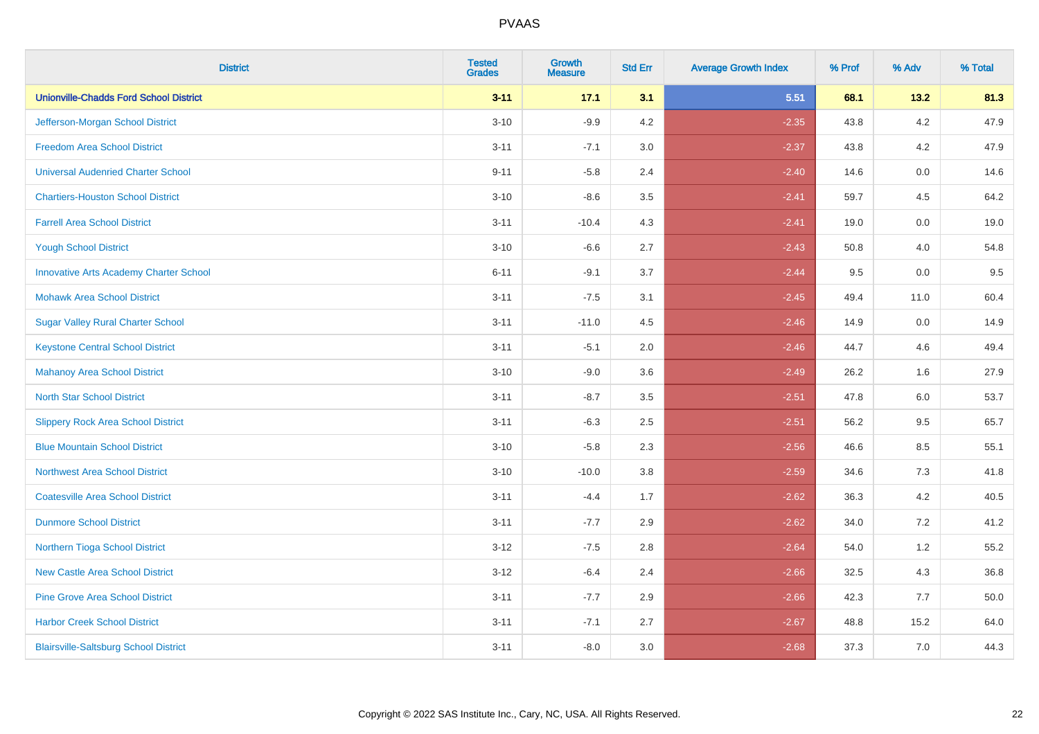| <b>District</b>                               | <b>Tested</b><br><b>Grades</b> | <b>Growth</b><br><b>Measure</b> | <b>Std Err</b> | <b>Average Growth Index</b> | % Prof | % Adv   | % Total |
|-----------------------------------------------|--------------------------------|---------------------------------|----------------|-----------------------------|--------|---------|---------|
| <b>Unionville-Chadds Ford School District</b> | $3 - 11$                       | 17.1                            | 3.1            | 5.51                        | 68.1   | 13.2    | 81.3    |
| Jefferson-Morgan School District              | $3 - 10$                       | $-9.9$                          | 4.2            | $-2.35$                     | 43.8   | $4.2\,$ | 47.9    |
| <b>Freedom Area School District</b>           | $3 - 11$                       | $-7.1$                          | 3.0            | $-2.37$                     | 43.8   | 4.2     | 47.9    |
| <b>Universal Audenried Charter School</b>     | $9 - 11$                       | $-5.8$                          | 2.4            | $-2.40$                     | 14.6   | 0.0     | 14.6    |
| <b>Chartiers-Houston School District</b>      | $3 - 10$                       | $-8.6$                          | 3.5            | $-2.41$                     | 59.7   | 4.5     | 64.2    |
| <b>Farrell Area School District</b>           | $3 - 11$                       | $-10.4$                         | 4.3            | $-2.41$                     | 19.0   | 0.0     | 19.0    |
| <b>Yough School District</b>                  | $3 - 10$                       | $-6.6$                          | 2.7            | $-2.43$                     | 50.8   | 4.0     | 54.8    |
| <b>Innovative Arts Academy Charter School</b> | $6 - 11$                       | $-9.1$                          | 3.7            | $-2.44$                     | 9.5    | 0.0     | 9.5     |
| <b>Mohawk Area School District</b>            | $3 - 11$                       | $-7.5$                          | 3.1            | $-2.45$                     | 49.4   | 11.0    | 60.4    |
| <b>Sugar Valley Rural Charter School</b>      | $3 - 11$                       | $-11.0$                         | 4.5            | $-2.46$                     | 14.9   | 0.0     | 14.9    |
| <b>Keystone Central School District</b>       | $3 - 11$                       | $-5.1$                          | 2.0            | $-2.46$                     | 44.7   | 4.6     | 49.4    |
| <b>Mahanoy Area School District</b>           | $3 - 10$                       | $-9.0$                          | 3.6            | $-2.49$                     | 26.2   | 1.6     | 27.9    |
| <b>North Star School District</b>             | $3 - 11$                       | $-8.7$                          | $3.5\,$        | $-2.51$                     | 47.8   | $6.0\,$ | 53.7    |
| <b>Slippery Rock Area School District</b>     | $3 - 11$                       | $-6.3$                          | 2.5            | $-2.51$                     | 56.2   | 9.5     | 65.7    |
| <b>Blue Mountain School District</b>          | $3 - 10$                       | $-5.8$                          | 2.3            | $-2.56$                     | 46.6   | 8.5     | 55.1    |
| <b>Northwest Area School District</b>         | $3 - 10$                       | $-10.0$                         | 3.8            | $-2.59$                     | 34.6   | $7.3$   | 41.8    |
| <b>Coatesville Area School District</b>       | $3 - 11$                       | $-4.4$                          | 1.7            | $-2.62$                     | 36.3   | 4.2     | 40.5    |
| <b>Dunmore School District</b>                | $3 - 11$                       | $-7.7$                          | 2.9            | $-2.62$                     | 34.0   | 7.2     | 41.2    |
| Northern Tioga School District                | $3 - 12$                       | $-7.5$                          | 2.8            | $-2.64$                     | 54.0   | 1.2     | 55.2    |
| <b>New Castle Area School District</b>        | $3 - 12$                       | $-6.4$                          | 2.4            | $-2.66$                     | 32.5   | 4.3     | 36.8    |
| <b>Pine Grove Area School District</b>        | $3 - 11$                       | $-7.7$                          | 2.9            | $-2.66$                     | 42.3   | 7.7     | 50.0    |
| <b>Harbor Creek School District</b>           | $3 - 11$                       | $-7.1$                          | 2.7            | $-2.67$                     | 48.8   | 15.2    | 64.0    |
| <b>Blairsville-Saltsburg School District</b>  | $3 - 11$                       | $-8.0$                          | 3.0            | $-2.68$                     | 37.3   | 7.0     | 44.3    |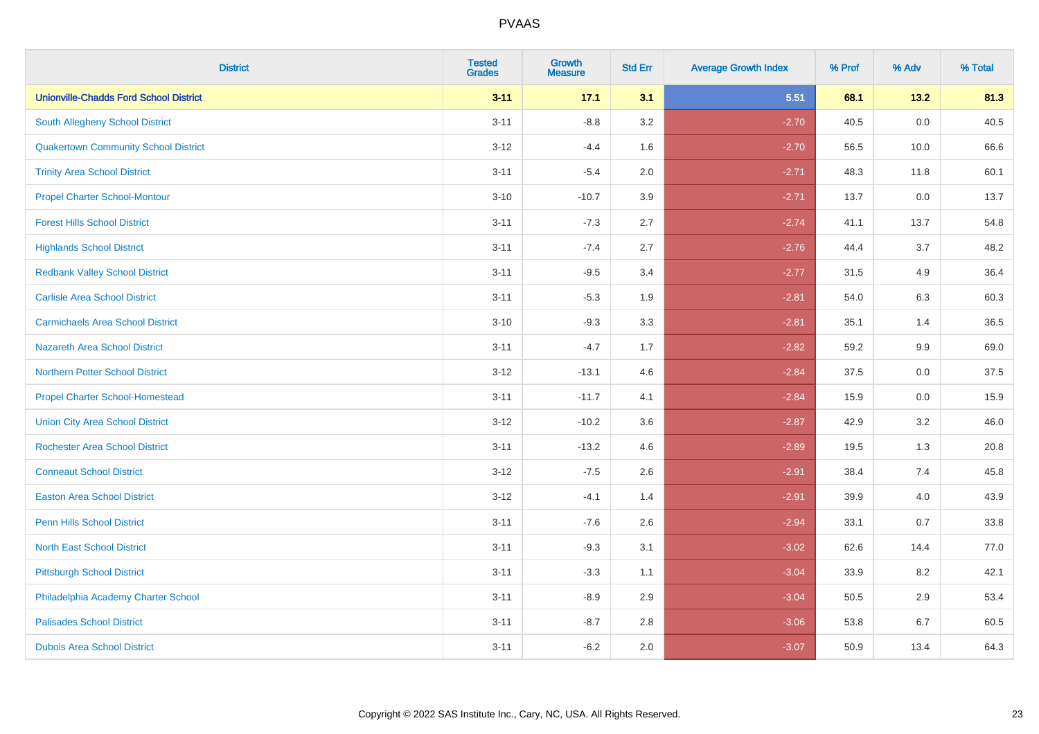| <b>District</b>                               | <b>Tested</b><br><b>Grades</b> | <b>Growth</b><br><b>Measure</b> | <b>Std Err</b> | <b>Average Growth Index</b> | % Prof | % Adv   | % Total |
|-----------------------------------------------|--------------------------------|---------------------------------|----------------|-----------------------------|--------|---------|---------|
| <b>Unionville-Chadds Ford School District</b> | $3 - 11$                       | 17.1                            | 3.1            | 5.51                        | 68.1   | 13.2    | 81.3    |
| South Allegheny School District               | $3 - 11$                       | $-8.8$                          | 3.2            | $-2.70$                     | 40.5   | $0.0\,$ | 40.5    |
| <b>Quakertown Community School District</b>   | $3 - 12$                       | $-4.4$                          | 1.6            | $-2.70$                     | 56.5   | 10.0    | 66.6    |
| <b>Trinity Area School District</b>           | $3 - 11$                       | $-5.4$                          | 2.0            | $-2.71$                     | 48.3   | 11.8    | 60.1    |
| <b>Propel Charter School-Montour</b>          | $3 - 10$                       | $-10.7$                         | 3.9            | $-2.71$                     | 13.7   | 0.0     | 13.7    |
| <b>Forest Hills School District</b>           | $3 - 11$                       | $-7.3$                          | 2.7            | $-2.74$                     | 41.1   | 13.7    | 54.8    |
| <b>Highlands School District</b>              | $3 - 11$                       | $-7.4$                          | 2.7            | $-2.76$                     | 44.4   | 3.7     | 48.2    |
| <b>Redbank Valley School District</b>         | $3 - 11$                       | $-9.5$                          | 3.4            | $-2.77$                     | 31.5   | 4.9     | 36.4    |
| <b>Carlisle Area School District</b>          | $3 - 11$                       | $-5.3$                          | 1.9            | $-2.81$                     | 54.0   | 6.3     | 60.3    |
| <b>Carmichaels Area School District</b>       | $3 - 10$                       | $-9.3$                          | 3.3            | $-2.81$                     | 35.1   | 1.4     | 36.5    |
| Nazareth Area School District                 | $3 - 11$                       | $-4.7$                          | 1.7            | $-2.82$                     | 59.2   | 9.9     | 69.0    |
| <b>Northern Potter School District</b>        | $3 - 12$                       | $-13.1$                         | 4.6            | $-2.84$                     | 37.5   | 0.0     | 37.5    |
| <b>Propel Charter School-Homestead</b>        | $3 - 11$                       | $-11.7$                         | 4.1            | $-2.84$                     | 15.9   | 0.0     | 15.9    |
| <b>Union City Area School District</b>        | $3 - 12$                       | $-10.2$                         | 3.6            | $-2.87$                     | 42.9   | 3.2     | 46.0    |
| <b>Rochester Area School District</b>         | $3 - 11$                       | $-13.2$                         | 4.6            | $-2.89$                     | 19.5   | 1.3     | 20.8    |
| <b>Conneaut School District</b>               | $3 - 12$                       | $-7.5$                          | 2.6            | $-2.91$                     | 38.4   | 7.4     | 45.8    |
| <b>Easton Area School District</b>            | $3 - 12$                       | $-4.1$                          | 1.4            | $-2.91$                     | 39.9   | 4.0     | 43.9    |
| <b>Penn Hills School District</b>             | $3 - 11$                       | $-7.6$                          | 2.6            | $-2.94$                     | 33.1   | 0.7     | 33.8    |
| <b>North East School District</b>             | $3 - 11$                       | $-9.3$                          | 3.1            | $-3.02$                     | 62.6   | 14.4    | 77.0    |
| <b>Pittsburgh School District</b>             | $3 - 11$                       | $-3.3$                          | 1.1            | $-3.04$                     | 33.9   | 8.2     | 42.1    |
| Philadelphia Academy Charter School           | $3 - 11$                       | $-8.9$                          | 2.9            | $-3.04$                     | 50.5   | 2.9     | 53.4    |
| <b>Palisades School District</b>              | $3 - 11$                       | $-8.7$                          | 2.8            | $-3.06$                     | 53.8   | 6.7     | 60.5    |
| <b>Dubois Area School District</b>            | $3 - 11$                       | $-6.2$                          | 2.0            | $-3.07$                     | 50.9   | 13.4    | 64.3    |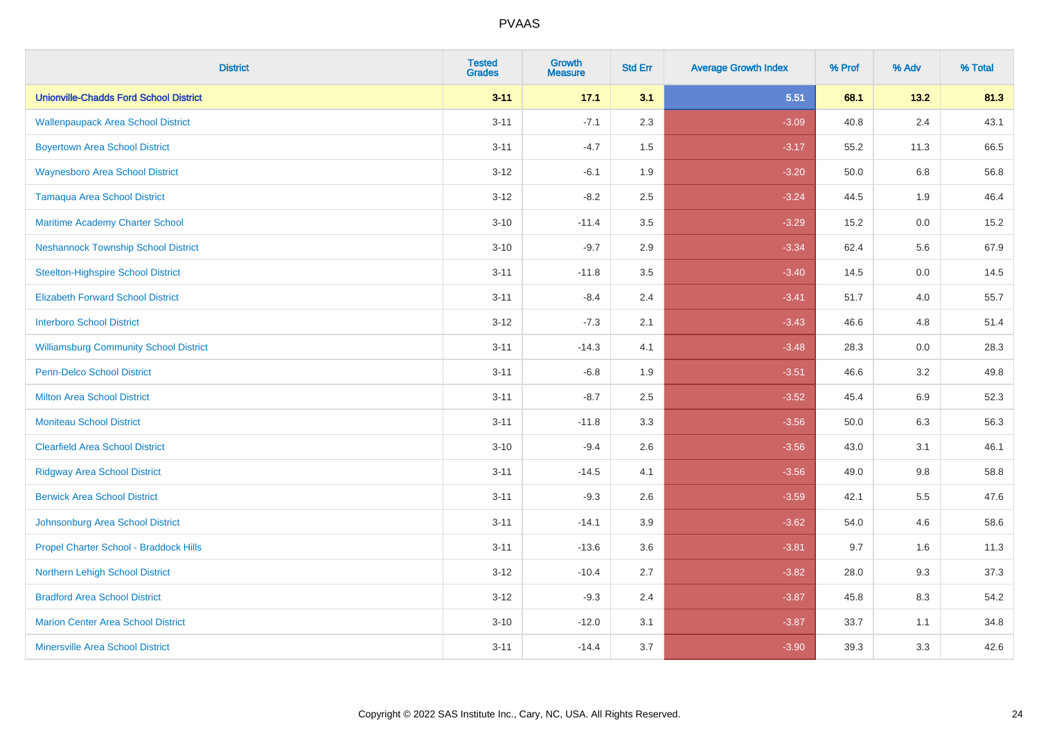| <b>District</b>                               | <b>Tested</b><br><b>Grades</b> | <b>Growth</b><br><b>Measure</b> | <b>Std Err</b> | <b>Average Growth Index</b> | % Prof | % Adv   | % Total |
|-----------------------------------------------|--------------------------------|---------------------------------|----------------|-----------------------------|--------|---------|---------|
| <b>Unionville-Chadds Ford School District</b> | $3 - 11$                       | 17.1                            | 3.1            | 5.51                        | 68.1   | 13.2    | 81.3    |
| <b>Wallenpaupack Area School District</b>     | $3 - 11$                       | $-7.1$                          | 2.3            | $-3.09$                     | 40.8   | 2.4     | 43.1    |
| <b>Boyertown Area School District</b>         | $3 - 11$                       | $-4.7$                          | 1.5            | $-3.17$                     | 55.2   | 11.3    | 66.5    |
| <b>Waynesboro Area School District</b>        | $3 - 12$                       | $-6.1$                          | 1.9            | $-3.20$                     | 50.0   | 6.8     | 56.8    |
| <b>Tamaqua Area School District</b>           | $3 - 12$                       | $-8.2$                          | 2.5            | $-3.24$                     | 44.5   | 1.9     | 46.4    |
| Maritime Academy Charter School               | $3 - 10$                       | $-11.4$                         | 3.5            | $-3.29$                     | 15.2   | $0.0\,$ | 15.2    |
| <b>Neshannock Township School District</b>    | $3 - 10$                       | $-9.7$                          | 2.9            | $-3.34$                     | 62.4   | 5.6     | 67.9    |
| <b>Steelton-Highspire School District</b>     | $3 - 11$                       | $-11.8$                         | 3.5            | $-3.40$                     | 14.5   | 0.0     | 14.5    |
| <b>Elizabeth Forward School District</b>      | $3 - 11$                       | $-8.4$                          | 2.4            | $-3.41$                     | 51.7   | $4.0$   | 55.7    |
| <b>Interboro School District</b>              | $3 - 12$                       | $-7.3$                          | 2.1            | $-3.43$                     | 46.6   | 4.8     | 51.4    |
| <b>Williamsburg Community School District</b> | $3 - 11$                       | $-14.3$                         | 4.1            | $-3.48$                     | 28.3   | 0.0     | 28.3    |
| <b>Penn-Delco School District</b>             | $3 - 11$                       | $-6.8$                          | 1.9            | $-3.51$                     | 46.6   | 3.2     | 49.8    |
| <b>Milton Area School District</b>            | $3 - 11$                       | $-8.7$                          | 2.5            | $-3.52$                     | 45.4   | 6.9     | 52.3    |
| <b>Moniteau School District</b>               | $3 - 11$                       | $-11.8$                         | 3.3            | $-3.56$                     | 50.0   | 6.3     | 56.3    |
| <b>Clearfield Area School District</b>        | $3 - 10$                       | $-9.4$                          | 2.6            | $-3.56$                     | 43.0   | 3.1     | 46.1    |
| <b>Ridgway Area School District</b>           | $3 - 11$                       | $-14.5$                         | 4.1            | $-3.56$                     | 49.0   | 9.8     | 58.8    |
| <b>Berwick Area School District</b>           | $3 - 11$                       | $-9.3$                          | 2.6            | $-3.59$                     | 42.1   | 5.5     | 47.6    |
| Johnsonburg Area School District              | $3 - 11$                       | $-14.1$                         | 3.9            | $-3.62$                     | 54.0   | 4.6     | 58.6    |
| Propel Charter School - Braddock Hills        | $3 - 11$                       | $-13.6$                         | 3.6            | $-3.81$                     | 9.7    | 1.6     | 11.3    |
| Northern Lehigh School District               | $3 - 12$                       | $-10.4$                         | 2.7            | $-3.82$                     | 28.0   | 9.3     | 37.3    |
| <b>Bradford Area School District</b>          | $3 - 12$                       | $-9.3$                          | 2.4            | $-3.87$                     | 45.8   | 8.3     | 54.2    |
| <b>Marion Center Area School District</b>     | $3 - 10$                       | $-12.0$                         | 3.1            | $-3.87$                     | 33.7   | 1.1     | 34.8    |
| <b>Minersville Area School District</b>       | $3 - 11$                       | $-14.4$                         | 3.7            | $-3.90$                     | 39.3   | 3.3     | 42.6    |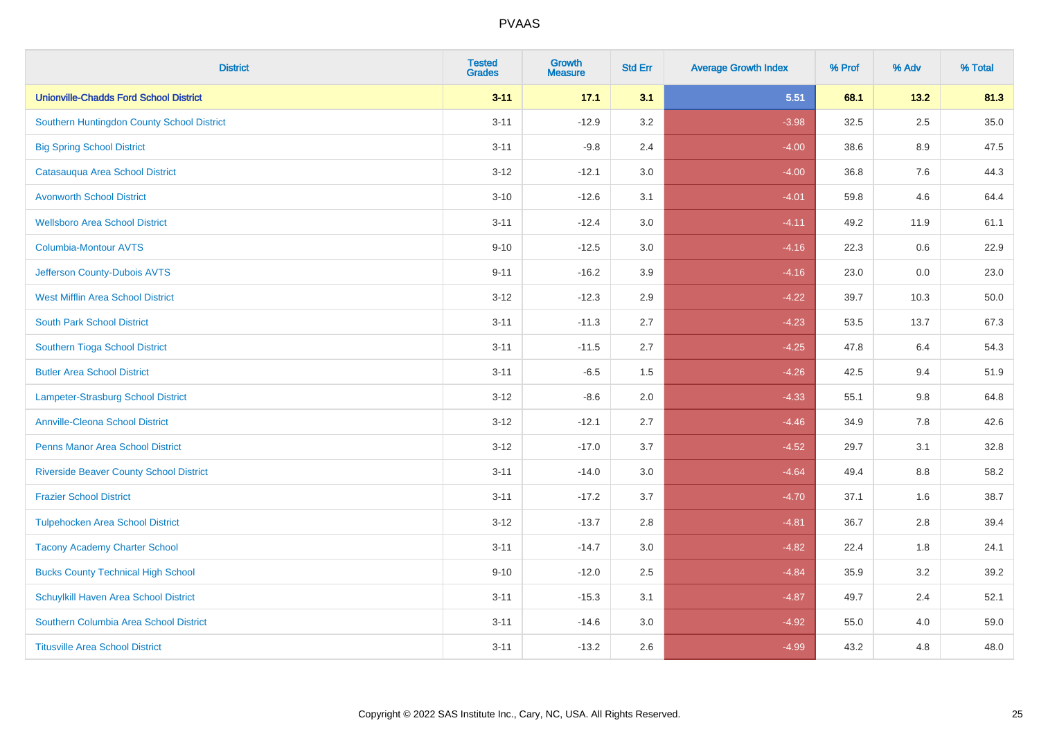| <b>District</b>                                | <b>Tested</b><br><b>Grades</b> | Growth<br><b>Measure</b> | <b>Std Err</b> | <b>Average Growth Index</b> | % Prof | % Adv   | % Total |
|------------------------------------------------|--------------------------------|--------------------------|----------------|-----------------------------|--------|---------|---------|
| <b>Unionville-Chadds Ford School District</b>  | $3 - 11$                       | 17.1                     | 3.1            | 5.51                        | 68.1   | 13.2    | 81.3    |
| Southern Huntingdon County School District     | $3 - 11$                       | $-12.9$                  | 3.2            | $-3.98$                     | 32.5   | 2.5     | 35.0    |
| <b>Big Spring School District</b>              | $3 - 11$                       | $-9.8$                   | 2.4            | $-4.00$                     | 38.6   | $8.9\,$ | 47.5    |
| Catasauqua Area School District                | $3 - 12$                       | $-12.1$                  | 3.0            | $-4.00$                     | 36.8   | 7.6     | 44.3    |
| <b>Avonworth School District</b>               | $3 - 10$                       | $-12.6$                  | 3.1            | $-4.01$                     | 59.8   | 4.6     | 64.4    |
| <b>Wellsboro Area School District</b>          | $3 - 11$                       | $-12.4$                  | 3.0            | $-4.11$                     | 49.2   | 11.9    | 61.1    |
| <b>Columbia-Montour AVTS</b>                   | $9 - 10$                       | $-12.5$                  | 3.0            | $-4.16$                     | 22.3   | 0.6     | 22.9    |
| Jefferson County-Dubois AVTS                   | $9 - 11$                       | $-16.2$                  | 3.9            | $-4.16$                     | 23.0   | 0.0     | 23.0    |
| <b>West Mifflin Area School District</b>       | $3 - 12$                       | $-12.3$                  | 2.9            | $-4.22$                     | 39.7   | 10.3    | 50.0    |
| <b>South Park School District</b>              | $3 - 11$                       | $-11.3$                  | 2.7            | $-4.23$                     | 53.5   | 13.7    | 67.3    |
| Southern Tioga School District                 | $3 - 11$                       | $-11.5$                  | 2.7            | $-4.25$                     | 47.8   | 6.4     | 54.3    |
| <b>Butler Area School District</b>             | $3 - 11$                       | $-6.5$                   | 1.5            | $-4.26$                     | 42.5   | 9.4     | 51.9    |
| Lampeter-Strasburg School District             | $3 - 12$                       | $-8.6$                   | 2.0            | $-4.33$                     | 55.1   | $9.8\,$ | 64.8    |
| <b>Annville-Cleona School District</b>         | $3 - 12$                       | $-12.1$                  | 2.7            | $-4.46$                     | 34.9   | 7.8     | 42.6    |
| <b>Penns Manor Area School District</b>        | $3 - 12$                       | $-17.0$                  | 3.7            | $-4.52$                     | 29.7   | 3.1     | 32.8    |
| <b>Riverside Beaver County School District</b> | $3 - 11$                       | $-14.0$                  | 3.0            | $-4.64$                     | 49.4   | $8.8\,$ | 58.2    |
| <b>Frazier School District</b>                 | $3 - 11$                       | $-17.2$                  | 3.7            | $-4.70$                     | 37.1   | 1.6     | 38.7    |
| <b>Tulpehocken Area School District</b>        | $3 - 12$                       | $-13.7$                  | 2.8            | $-4.81$                     | 36.7   | 2.8     | 39.4    |
| <b>Tacony Academy Charter School</b>           | $3 - 11$                       | $-14.7$                  | 3.0            | $-4.82$                     | 22.4   | 1.8     | 24.1    |
| <b>Bucks County Technical High School</b>      | $9 - 10$                       | $-12.0$                  | 2.5            | $-4.84$                     | 35.9   | 3.2     | 39.2    |
| Schuylkill Haven Area School District          | $3 - 11$                       | $-15.3$                  | 3.1            | $-4.87$                     | 49.7   | 2.4     | 52.1    |
| Southern Columbia Area School District         | $3 - 11$                       | $-14.6$                  | 3.0            | $-4.92$                     | 55.0   | 4.0     | 59.0    |
| <b>Titusville Area School District</b>         | $3 - 11$                       | $-13.2$                  | 2.6            | $-4.99$                     | 43.2   | 4.8     | 48.0    |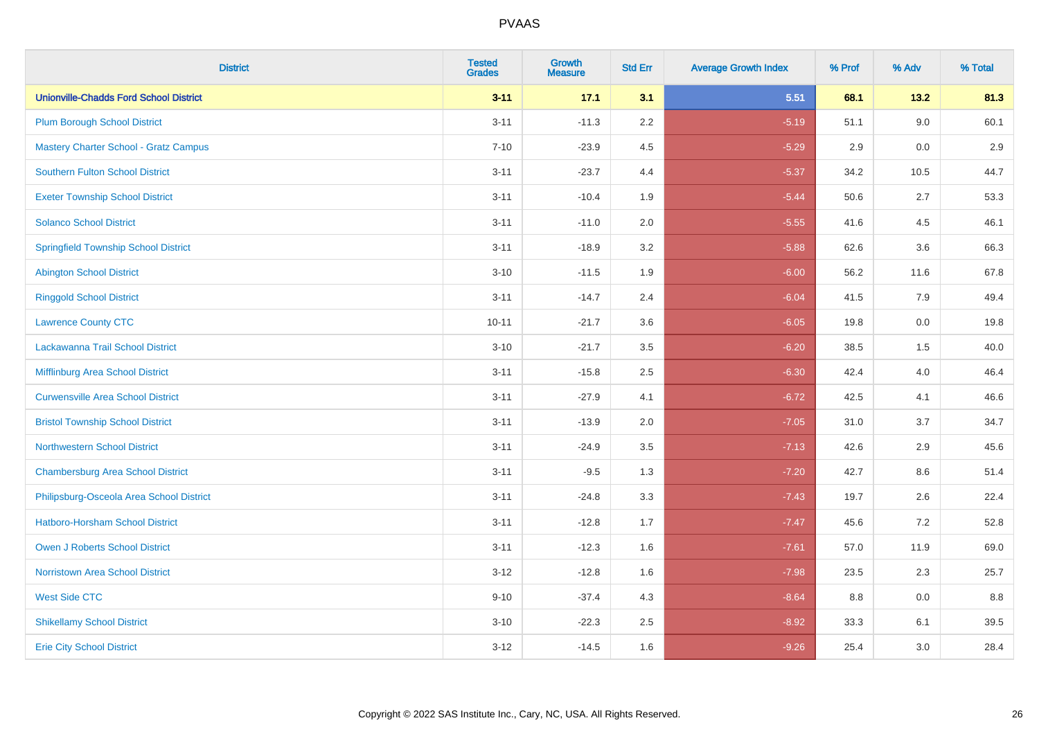| <b>District</b>                               | <b>Tested</b><br><b>Grades</b> | <b>Growth</b><br><b>Measure</b> | <b>Std Err</b> | <b>Average Growth Index</b> | % Prof | % Adv   | % Total |
|-----------------------------------------------|--------------------------------|---------------------------------|----------------|-----------------------------|--------|---------|---------|
| <b>Unionville-Chadds Ford School District</b> | $3 - 11$                       | 17.1                            | 3.1            | 5.51                        | 68.1   | 13.2    | 81.3    |
| <b>Plum Borough School District</b>           | $3 - 11$                       | $-11.3$                         | 2.2            | $-5.19$                     | 51.1   | 9.0     | 60.1    |
| <b>Mastery Charter School - Gratz Campus</b>  | $7 - 10$                       | $-23.9$                         | 4.5            | $-5.29$                     | 2.9    | 0.0     | 2.9     |
| <b>Southern Fulton School District</b>        | $3 - 11$                       | $-23.7$                         | 4.4            | $-5.37$                     | 34.2   | 10.5    | 44.7    |
| <b>Exeter Township School District</b>        | $3 - 11$                       | $-10.4$                         | 1.9            | $-5.44$                     | 50.6   | 2.7     | 53.3    |
| <b>Solanco School District</b>                | $3 - 11$                       | $-11.0$                         | 2.0            | $-5.55$                     | 41.6   | 4.5     | 46.1    |
| <b>Springfield Township School District</b>   | $3 - 11$                       | $-18.9$                         | 3.2            | $-5.88$                     | 62.6   | 3.6     | 66.3    |
| <b>Abington School District</b>               | $3 - 10$                       | $-11.5$                         | 1.9            | $-6.00$                     | 56.2   | 11.6    | 67.8    |
| <b>Ringgold School District</b>               | $3 - 11$                       | $-14.7$                         | 2.4            | $-6.04$                     | 41.5   | 7.9     | 49.4    |
| <b>Lawrence County CTC</b>                    | $10 - 11$                      | $-21.7$                         | 3.6            | $-6.05$                     | 19.8   | 0.0     | 19.8    |
| Lackawanna Trail School District              | $3 - 10$                       | $-21.7$                         | 3.5            | $-6.20$                     | 38.5   | 1.5     | 40.0    |
| Mifflinburg Area School District              | $3 - 11$                       | $-15.8$                         | 2.5            | $-6.30$                     | 42.4   | 4.0     | 46.4    |
| <b>Curwensville Area School District</b>      | $3 - 11$                       | $-27.9$                         | 4.1            | $-6.72$                     | 42.5   | 4.1     | 46.6    |
| <b>Bristol Township School District</b>       | $3 - 11$                       | $-13.9$                         | 2.0            | $-7.05$                     | 31.0   | 3.7     | 34.7    |
| <b>Northwestern School District</b>           | $3 - 11$                       | $-24.9$                         | 3.5            | $-7.13$                     | 42.6   | 2.9     | 45.6    |
| <b>Chambersburg Area School District</b>      | $3 - 11$                       | $-9.5$                          | 1.3            | $-7.20$                     | 42.7   | $8.6\,$ | 51.4    |
| Philipsburg-Osceola Area School District      | $3 - 11$                       | $-24.8$                         | 3.3            | $-7.43$                     | 19.7   | 2.6     | 22.4    |
| <b>Hatboro-Horsham School District</b>        | $3 - 11$                       | $-12.8$                         | 1.7            | $-7.47$                     | 45.6   | 7.2     | 52.8    |
| Owen J Roberts School District                | $3 - 11$                       | $-12.3$                         | 1.6            | $-7.61$                     | 57.0   | 11.9    | 69.0    |
| <b>Norristown Area School District</b>        | $3 - 12$                       | $-12.8$                         | 1.6            | $-7.98$                     | 23.5   | 2.3     | 25.7    |
| <b>West Side CTC</b>                          | $9 - 10$                       | $-37.4$                         | 4.3            | $-8.64$                     | 8.8    | 0.0     | 8.8     |
| <b>Shikellamy School District</b>             | $3 - 10$                       | $-22.3$                         | 2.5            | $-8.92$                     | 33.3   | 6.1     | 39.5    |
| <b>Erie City School District</b>              | $3 - 12$                       | $-14.5$                         | 1.6            | $-9.26$                     | 25.4   | 3.0     | 28.4    |